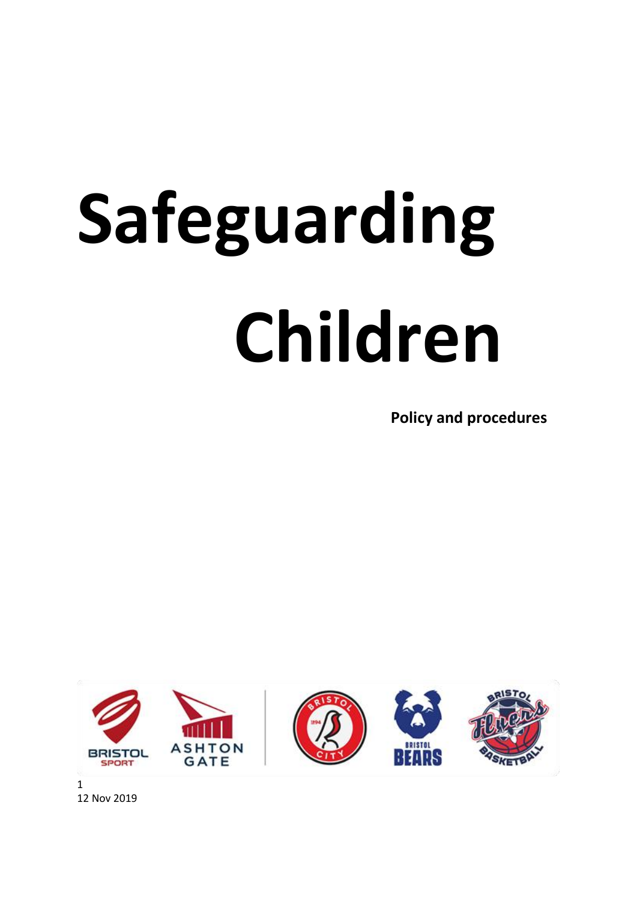# **Safeguarding Children Policy and procedures**

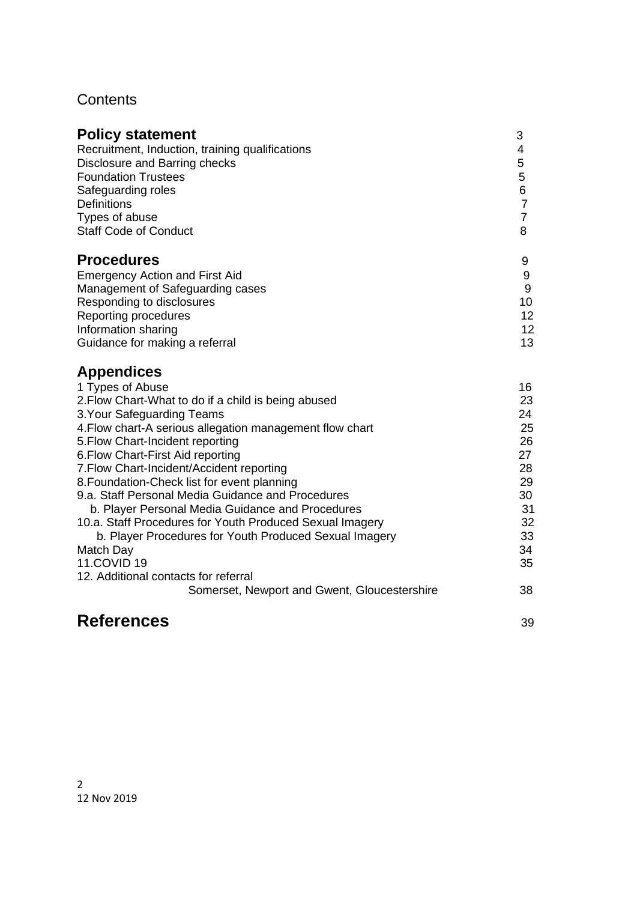# **Contents**

| <b>Policy statement</b>                                                                                                                                                                                                                                                                                                                                                                                                                                                                                                                                                                                                                                                                                               | 3                                                                                      |
|-----------------------------------------------------------------------------------------------------------------------------------------------------------------------------------------------------------------------------------------------------------------------------------------------------------------------------------------------------------------------------------------------------------------------------------------------------------------------------------------------------------------------------------------------------------------------------------------------------------------------------------------------------------------------------------------------------------------------|----------------------------------------------------------------------------------------|
| Recruitment, Induction, training qualifications                                                                                                                                                                                                                                                                                                                                                                                                                                                                                                                                                                                                                                                                       | 4                                                                                      |
| Disclosure and Barring checks                                                                                                                                                                                                                                                                                                                                                                                                                                                                                                                                                                                                                                                                                         | 5                                                                                      |
| <b>Foundation Trustees</b>                                                                                                                                                                                                                                                                                                                                                                                                                                                                                                                                                                                                                                                                                            | 5                                                                                      |
| Safeguarding roles                                                                                                                                                                                                                                                                                                                                                                                                                                                                                                                                                                                                                                                                                                    | 6                                                                                      |
| <b>Definitions</b>                                                                                                                                                                                                                                                                                                                                                                                                                                                                                                                                                                                                                                                                                                    | $\overline{7}$                                                                         |
| Types of abuse                                                                                                                                                                                                                                                                                                                                                                                                                                                                                                                                                                                                                                                                                                        | $\overline{7}$                                                                         |
| <b>Staff Code of Conduct</b>                                                                                                                                                                                                                                                                                                                                                                                                                                                                                                                                                                                                                                                                                          | 8                                                                                      |
| <b>Procedures</b>                                                                                                                                                                                                                                                                                                                                                                                                                                                                                                                                                                                                                                                                                                     | 9                                                                                      |
| <b>Emergency Action and First Aid</b>                                                                                                                                                                                                                                                                                                                                                                                                                                                                                                                                                                                                                                                                                 | 9                                                                                      |
| Management of Safeguarding cases                                                                                                                                                                                                                                                                                                                                                                                                                                                                                                                                                                                                                                                                                      | 9                                                                                      |
| Responding to disclosures                                                                                                                                                                                                                                                                                                                                                                                                                                                                                                                                                                                                                                                                                             | 10                                                                                     |
| <b>Reporting procedures</b>                                                                                                                                                                                                                                                                                                                                                                                                                                                                                                                                                                                                                                                                                           | 12                                                                                     |
| Information sharing                                                                                                                                                                                                                                                                                                                                                                                                                                                                                                                                                                                                                                                                                                   | 12                                                                                     |
| Guidance for making a referral                                                                                                                                                                                                                                                                                                                                                                                                                                                                                                                                                                                                                                                                                        | 13                                                                                     |
| <b>Appendices</b><br>1 Types of Abuse<br>2. Flow Chart-What to do if a child is being abused<br>3. Your Safeguarding Teams<br>4. Flow chart-A serious allegation management flow chart<br>5. Flow Chart-Incident reporting<br>6. Flow Chart-First Aid reporting<br>7. Flow Chart-Incident/Accident reporting<br>8. Foundation-Check list for event planning<br>9.a. Staff Personal Media Guidance and Procedures<br>b. Player Personal Media Guidance and Procedures<br>10.a. Staff Procedures for Youth Produced Sexual Imagery<br>b. Player Procedures for Youth Produced Sexual Imagery<br>Match Day<br><b>11.COVID 19</b><br>12. Additional contacts for referral<br>Somerset, Newport and Gwent, Gloucestershire | 16<br>23<br>24<br>25<br>26<br>27<br>28<br>29<br>30<br>31<br>32<br>33<br>34<br>35<br>38 |
| <b>References</b>                                                                                                                                                                                                                                                                                                                                                                                                                                                                                                                                                                                                                                                                                                     | 39                                                                                     |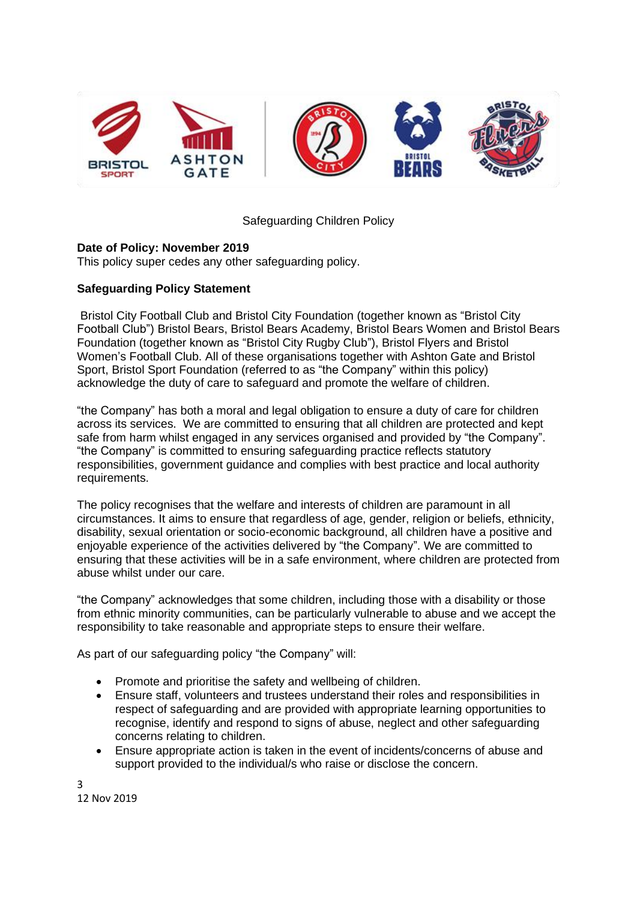

#### Safeguarding Children Policy

#### **Date of Policy: November 2019**

This policy super cedes any other safeguarding policy.

#### **Safeguarding Policy Statement**

Bristol City Football Club and Bristol City Foundation (together known as "Bristol City Football Club") Bristol Bears, Bristol Bears Academy, Bristol Bears Women and Bristol Bears Foundation (together known as "Bristol City Rugby Club"), Bristol Flyers and Bristol Women's Football Club. All of these organisations together with Ashton Gate and Bristol Sport, Bristol Sport Foundation (referred to as "the Company" within this policy) acknowledge the duty of care to safeguard and promote the welfare of children.

"the Company" has both a moral and legal obligation to ensure a duty of care for children across its services. We are committed to ensuring that all children are protected and kept safe from harm whilst engaged in any services organised and provided by "the Company". "the Company" is committed to ensuring safeguarding practice reflects statutory responsibilities, government guidance and complies with best practice and local authority requirements.

The policy recognises that the welfare and interests of children are paramount in all circumstances. It aims to ensure that regardless of age, gender, religion or beliefs, ethnicity, disability, sexual orientation or socio-economic background, all children have a positive and enjoyable experience of the activities delivered by "the Company". We are committed to ensuring that these activities will be in a safe environment, where children are protected from abuse whilst under our care.

"the Company" acknowledges that some children, including those with a disability or those from ethnic minority communities, can be particularly vulnerable to abuse and we accept the responsibility to take reasonable and appropriate steps to ensure their welfare.

As part of our safeguarding policy "the Company" will:

- Promote and prioritise the safety and wellbeing of children.
- Ensure staff, volunteers and trustees understand their roles and responsibilities in respect of safeguarding and are provided with appropriate learning opportunities to recognise, identify and respond to signs of abuse, neglect and other safeguarding concerns relating to children.
- Ensure appropriate action is taken in the event of incidents/concerns of abuse and support provided to the individual/s who raise or disclose the concern.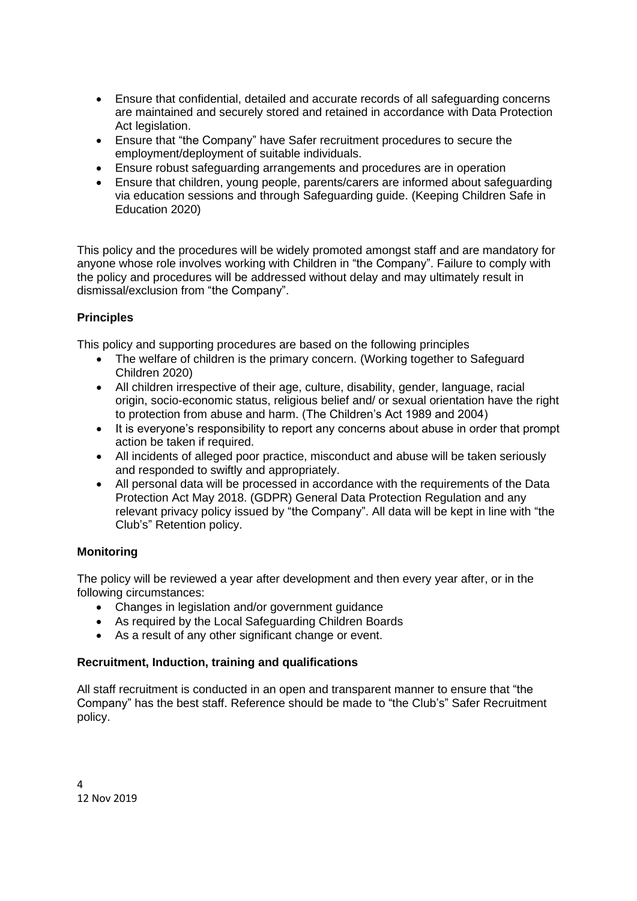- Ensure that confidential, detailed and accurate records of all safeguarding concerns are maintained and securely stored and retained in accordance with Data Protection Act legislation.
- Ensure that "the Company" have Safer recruitment procedures to secure the employment/deployment of suitable individuals.
- Ensure robust safeguarding arrangements and procedures are in operation
- Ensure that children, young people, parents/carers are informed about safeguarding via education sessions and through Safeguarding guide. (Keeping Children Safe in Education 2020)

This policy and the procedures will be widely promoted amongst staff and are mandatory for anyone whose role involves working with Children in "the Company". Failure to comply with the policy and procedures will be addressed without delay and may ultimately result in dismissal/exclusion from "the Company".

#### **Principles**

This policy and supporting procedures are based on the following principles

- The welfare of children is the primary concern. (Working together to Safeguard Children 2020)
- All children irrespective of their age, culture, disability, gender, language, racial origin, socio-economic status, religious belief and/ or sexual orientation have the right to protection from abuse and harm. (The Children's Act 1989 and 2004)
- It is everyone's responsibility to report any concerns about abuse in order that prompt action be taken if required.
- All incidents of alleged poor practice, misconduct and abuse will be taken seriously and responded to swiftly and appropriately.
- All personal data will be processed in accordance with the requirements of the Data Protection Act May 2018. (GDPR) General Data Protection Regulation and any relevant privacy policy issued by "the Company". All data will be kept in line with "the Club's" Retention policy.

#### **Monitoring**

The policy will be reviewed a year after development and then every year after, or in the following circumstances:

- Changes in legislation and/or government guidance
- As required by the Local Safeguarding Children Boards
- As a result of any other significant change or event.

#### **Recruitment, Induction, training and qualifications**

All staff recruitment is conducted in an open and transparent manner to ensure that "the Company" has the best staff. Reference should be made to "the Club's" Safer Recruitment policy.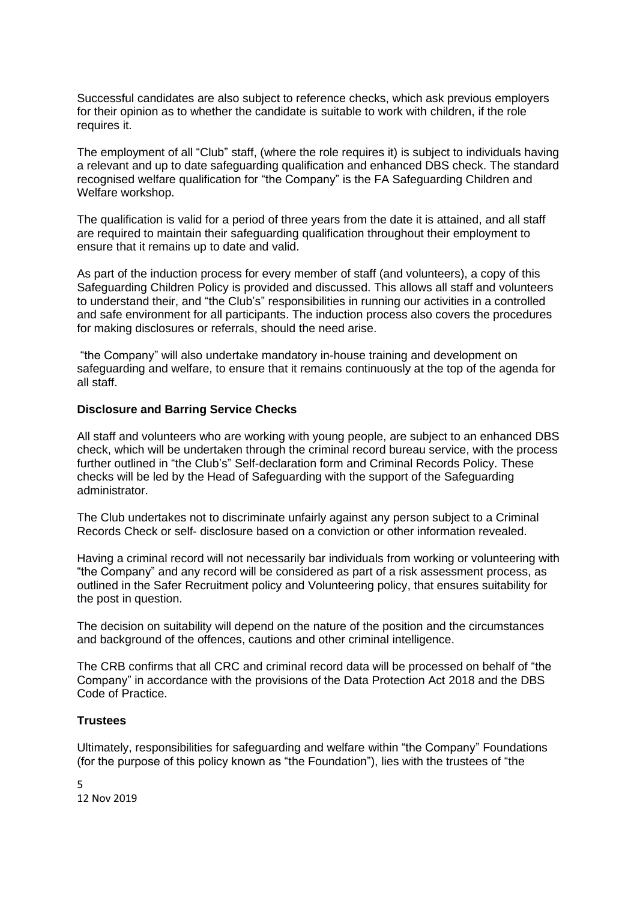Successful candidates are also subject to reference checks, which ask previous employers for their opinion as to whether the candidate is suitable to work with children, if the role requires it.

The employment of all "Club" staff, (where the role requires it) is subject to individuals having a relevant and up to date safeguarding qualification and enhanced DBS check. The standard recognised welfare qualification for "the Company" is the FA Safeguarding Children and Welfare workshop.

The qualification is valid for a period of three years from the date it is attained, and all staff are required to maintain their safeguarding qualification throughout their employment to ensure that it remains up to date and valid.

As part of the induction process for every member of staff (and volunteers), a copy of this Safeguarding Children Policy is provided and discussed. This allows all staff and volunteers to understand their, and "the Club's" responsibilities in running our activities in a controlled and safe environment for all participants. The induction process also covers the procedures for making disclosures or referrals, should the need arise.

"the Company" will also undertake mandatory in-house training and development on safeguarding and welfare, to ensure that it remains continuously at the top of the agenda for all staff.

#### **Disclosure and Barring Service Checks**

All staff and volunteers who are working with young people, are subject to an enhanced DBS check, which will be undertaken through the criminal record bureau service, with the process further outlined in "the Club's" Self-declaration form and Criminal Records Policy. These checks will be led by the Head of Safeguarding with the support of the Safeguarding administrator.

The Club undertakes not to discriminate unfairly against any person subject to a Criminal Records Check or self- disclosure based on a conviction or other information revealed.

Having a criminal record will not necessarily bar individuals from working or volunteering with "the Company" and any record will be considered as part of a risk assessment process, as outlined in the Safer Recruitment policy and Volunteering policy, that ensures suitability for the post in question.

The decision on suitability will depend on the nature of the position and the circumstances and background of the offences, cautions and other criminal intelligence.

The CRB confirms that all CRC and criminal record data will be processed on behalf of "the Company" in accordance with the provisions of the Data Protection Act 2018 and the DBS Code of Practice.

#### **Trustees**

Ultimately, responsibilities for safeguarding and welfare within "the Company" Foundations (for the purpose of this policy known as "the Foundation"), lies with the trustees of "the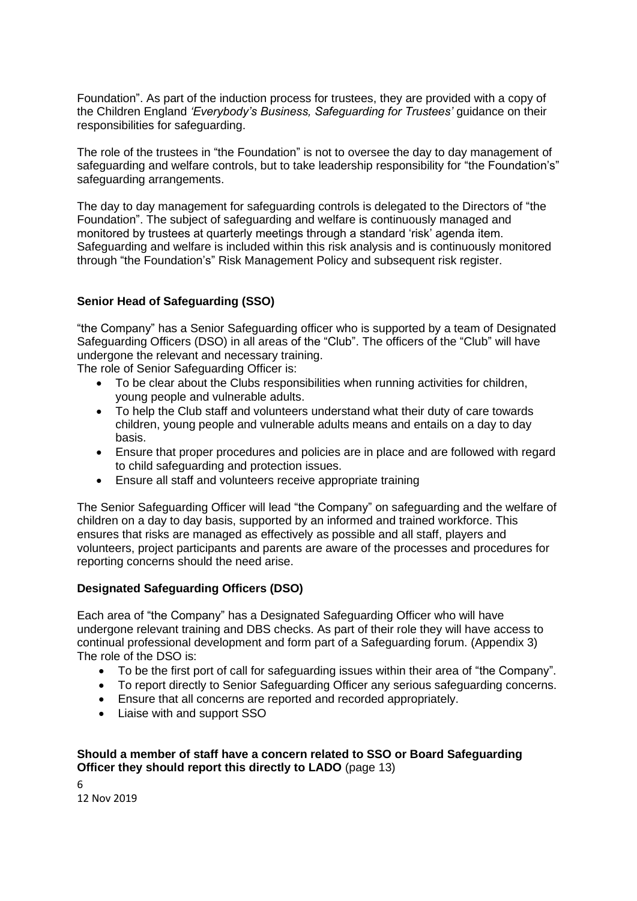Foundation". As part of the induction process for trustees, they are provided with a copy of the Children England *'Everybody's Business, Safeguarding for Trustees'* guidance on their responsibilities for safeguarding.

The role of the trustees in "the Foundation" is not to oversee the day to day management of safeguarding and welfare controls, but to take leadership responsibility for "the Foundation's" safeguarding arrangements.

The day to day management for safeguarding controls is delegated to the Directors of "the Foundation". The subject of safeguarding and welfare is continuously managed and monitored by trustees at quarterly meetings through a standard 'risk' agenda item. Safeguarding and welfare is included within this risk analysis and is continuously monitored through "the Foundation's" Risk Management Policy and subsequent risk register.

#### **Senior Head of Safeguarding (SSO)**

"the Company" has a Senior Safeguarding officer who is supported by a team of Designated Safeguarding Officers (DSO) in all areas of the "Club". The officers of the "Club" will have undergone the relevant and necessary training.

The role of Senior Safeguarding Officer is:

- To be clear about the Clubs responsibilities when running activities for children, young people and vulnerable adults.
- To help the Club staff and volunteers understand what their duty of care towards children, young people and vulnerable adults means and entails on a day to day basis.
- Ensure that proper procedures and policies are in place and are followed with regard to child safeguarding and protection issues.
- Ensure all staff and volunteers receive appropriate training

The Senior Safeguarding Officer will lead "the Company" on safeguarding and the welfare of children on a day to day basis, supported by an informed and trained workforce. This ensures that risks are managed as effectively as possible and all staff, players and volunteers, project participants and parents are aware of the processes and procedures for reporting concerns should the need arise.

#### **Designated Safeguarding Officers (DSO)**

Each area of "the Company" has a Designated Safeguarding Officer who will have undergone relevant training and DBS checks. As part of their role they will have access to continual professional development and form part of a Safeguarding forum. (Appendix 3) The role of the DSO is:

- To be the first port of call for safeguarding issues within their area of "the Company".
- To report directly to Senior Safeguarding Officer any serious safeguarding concerns.
- Ensure that all concerns are reported and recorded appropriately.
- Liaise with and support SSO

#### **Should a member of staff have a concern related to SSO or Board Safeguarding Officer they should report this directly to LADO** (page 13)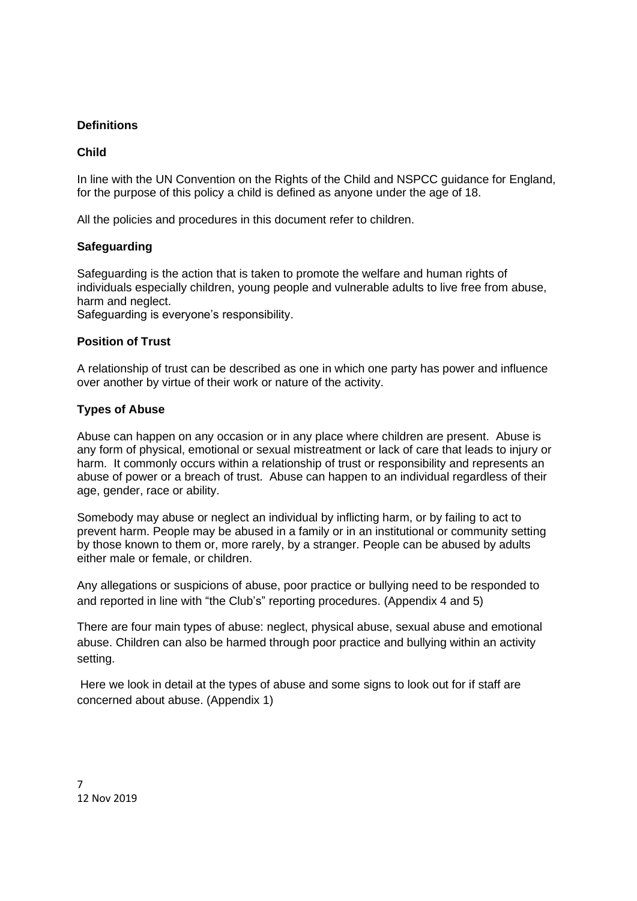#### **Definitions**

#### **Child**

In line with the UN Convention on the Rights of the Child and NSPCC guidance for England, for the purpose of this policy a child is defined as anyone under the age of 18.

All the policies and procedures in this document refer to children.

#### **Safeguarding**

Safeguarding is the action that is taken to promote the welfare and human rights of individuals especially children, young people and vulnerable adults to live free from abuse, harm and neglect.

Safeguarding is everyone's responsibility.

#### **Position of Trust**

A relationship of trust can be described as one in which one party has power and influence over another by virtue of their work or nature of the activity.

#### **Types of Abuse**

Abuse can happen on any occasion or in any place where children are present. Abuse is any form of physical, emotional or sexual mistreatment or lack of care that leads to injury or harm. It commonly occurs within a relationship of trust or responsibility and represents an abuse of power or a breach of trust. Abuse can happen to an individual regardless of their age, gender, race or ability.

Somebody may abuse or neglect an individual by inflicting harm, or by failing to act to prevent harm. People may be abused in a family or in an institutional or community setting by those known to them or, more rarely, by a stranger. People can be abused by adults either male or female, or children.

Any allegations or suspicions of abuse, poor practice or bullying need to be responded to and reported in line with "the Club's" reporting procedures. (Appendix 4 and 5)

There are four main types of abuse: neglect, physical abuse, sexual abuse and emotional abuse. Children can also be harmed through poor practice and bullying within an activity setting.

Here we look in detail at the types of abuse and some signs to look out for if staff are concerned about abuse. (Appendix 1)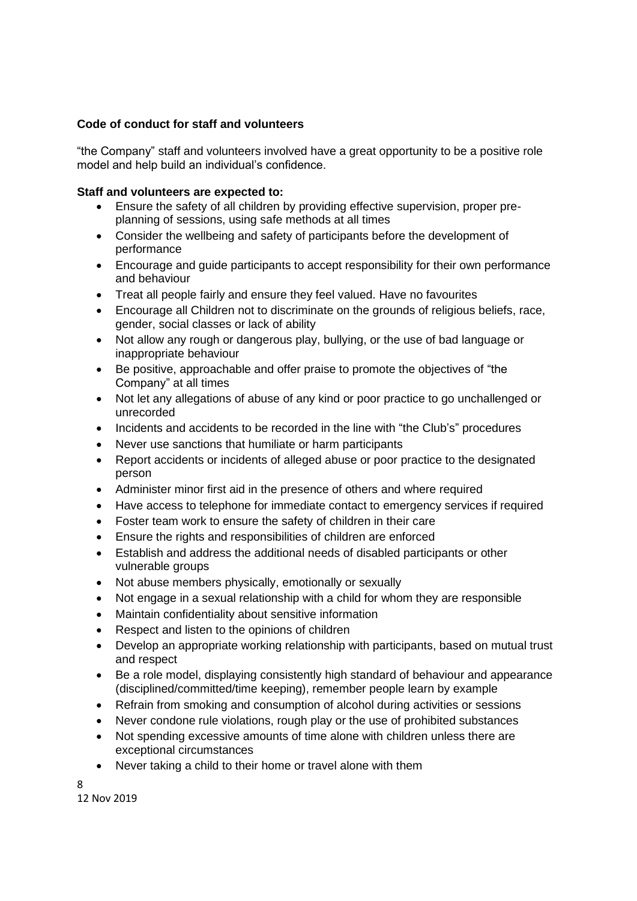#### **Code of conduct for staff and volunteers**

"the Company" staff and volunteers involved have a great opportunity to be a positive role model and help build an individual's confidence.

#### **Staff and volunteers are expected to:**

- Ensure the safety of all children by providing effective supervision, proper preplanning of sessions, using safe methods at all times
- Consider the wellbeing and safety of participants before the development of performance
- Encourage and guide participants to accept responsibility for their own performance and behaviour
- Treat all people fairly and ensure they feel valued. Have no favourites
- Encourage all Children not to discriminate on the grounds of religious beliefs, race, gender, social classes or lack of ability
- Not allow any rough or dangerous play, bullying, or the use of bad language or inappropriate behaviour
- Be positive, approachable and offer praise to promote the objectives of "the Company" at all times
- Not let any allegations of abuse of any kind or poor practice to go unchallenged or unrecorded
- Incidents and accidents to be recorded in the line with "the Club's" procedures
- Never use sanctions that humiliate or harm participants
- Report accidents or incidents of alleged abuse or poor practice to the designated person
- Administer minor first aid in the presence of others and where required
- Have access to telephone for immediate contact to emergency services if required
- Foster team work to ensure the safety of children in their care
- Ensure the rights and responsibilities of children are enforced
- Establish and address the additional needs of disabled participants or other vulnerable groups
- Not abuse members physically, emotionally or sexually
- Not engage in a sexual relationship with a child for whom they are responsible
- Maintain confidentiality about sensitive information
- Respect and listen to the opinions of children
- Develop an appropriate working relationship with participants, based on mutual trust and respect
- Be a role model, displaying consistently high standard of behaviour and appearance (disciplined/committed/time keeping), remember people learn by example
- Refrain from smoking and consumption of alcohol during activities or sessions
- Never condone rule violations, rough play or the use of prohibited substances
- Not spending excessive amounts of time alone with children unless there are exceptional circumstances
- Never taking a child to their home or travel alone with them
- 8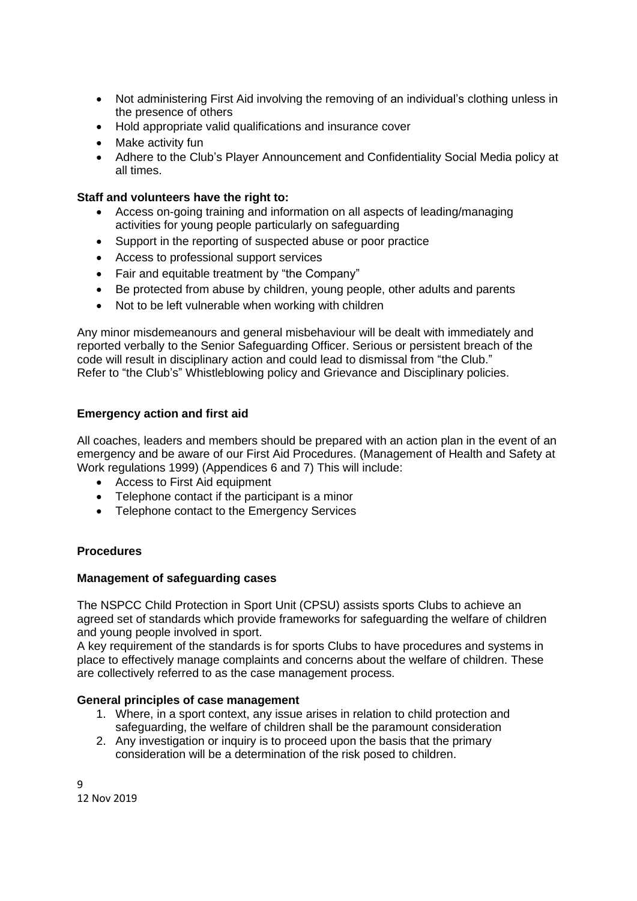- Not administering First Aid involving the removing of an individual's clothing unless in the presence of others
- Hold appropriate valid qualifications and insurance cover
- Make activity fun
- Adhere to the Club's Player Announcement and Confidentiality Social Media policy at all times.

#### **Staff and volunteers have the right to:**

- Access on-going training and information on all aspects of leading/managing activities for young people particularly on safeguarding
- Support in the reporting of suspected abuse or poor practice
- Access to professional support services
- Fair and equitable treatment by "the Company"
- Be protected from abuse by children, young people, other adults and parents
- Not to be left vulnerable when working with children

Any minor misdemeanours and general misbehaviour will be dealt with immediately and reported verbally to the Senior Safeguarding Officer. Serious or persistent breach of the code will result in disciplinary action and could lead to dismissal from "the Club." Refer to "the Club's" Whistleblowing policy and Grievance and Disciplinary policies.

#### **Emergency action and first aid**

All coaches, leaders and members should be prepared with an action plan in the event of an emergency and be aware of our First Aid Procedures. (Management of Health and Safety at Work regulations 1999) (Appendices 6 and 7) This will include:

- Access to First Aid equipment
- Telephone contact if the participant is a minor
- Telephone contact to the Emergency Services

#### **Procedures**

#### **Management of safeguarding cases**

The NSPCC Child Protection in Sport Unit (CPSU) assists sports Clubs to achieve an agreed set of standards which provide frameworks for safeguarding the welfare of children and young people involved in sport.

A key requirement of the standards is for sports Clubs to have procedures and systems in place to effectively manage complaints and concerns about the welfare of children. These are collectively referred to as the case management process.

#### **General principles of case management**

- 1. Where, in a sport context, any issue arises in relation to child protection and safeguarding, the welfare of children shall be the paramount consideration
- 2. Any investigation or inquiry is to proceed upon the basis that the primary consideration will be a determination of the risk posed to children.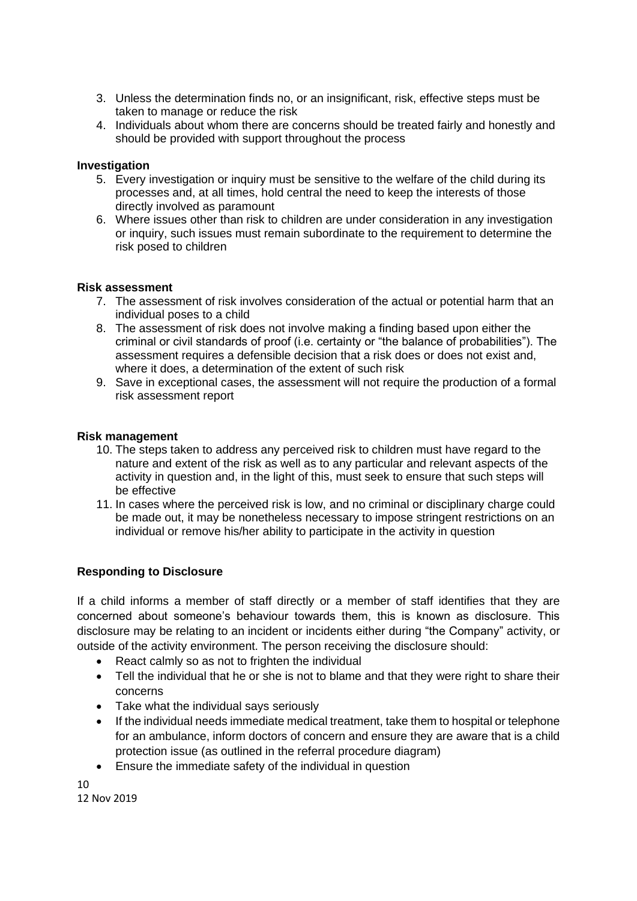- 3. Unless the determination finds no, or an insignificant, risk, effective steps must be taken to manage or reduce the risk
- 4. Individuals about whom there are concerns should be treated fairly and honestly and should be provided with support throughout the process

#### **Investigation**

- 5. Every investigation or inquiry must be sensitive to the welfare of the child during its processes and, at all times, hold central the need to keep the interests of those directly involved as paramount
- 6. Where issues other than risk to children are under consideration in any investigation or inquiry, such issues must remain subordinate to the requirement to determine the risk posed to children

#### **Risk assessment**

- 7. The assessment of risk involves consideration of the actual or potential harm that an individual poses to a child
- 8. The assessment of risk does not involve making a finding based upon either the criminal or civil standards of proof (i.e. certainty or "the balance of probabilities"). The assessment requires a defensible decision that a risk does or does not exist and, where it does, a determination of the extent of such risk
- 9. Save in exceptional cases, the assessment will not require the production of a formal risk assessment report

#### **Risk management**

- 10. The steps taken to address any perceived risk to children must have regard to the nature and extent of the risk as well as to any particular and relevant aspects of the activity in question and, in the light of this, must seek to ensure that such steps will be effective
- 11. In cases where the perceived risk is low, and no criminal or disciplinary charge could be made out, it may be nonetheless necessary to impose stringent restrictions on an individual or remove his/her ability to participate in the activity in question

#### **Responding to Disclosure**

If a child informs a member of staff directly or a member of staff identifies that they are concerned about someone's behaviour towards them, this is known as disclosure. This disclosure may be relating to an incident or incidents either during "the Company" activity, or outside of the activity environment. The person receiving the disclosure should:

- React calmly so as not to frighten the individual
- Tell the individual that he or she is not to blame and that they were right to share their concerns
- Take what the individual says seriously
- If the individual needs immediate medical treatment, take them to hospital or telephone for an ambulance, inform doctors of concern and ensure they are aware that is a child protection issue (as outlined in the referral procedure diagram)
- Ensure the immediate safety of the individual in question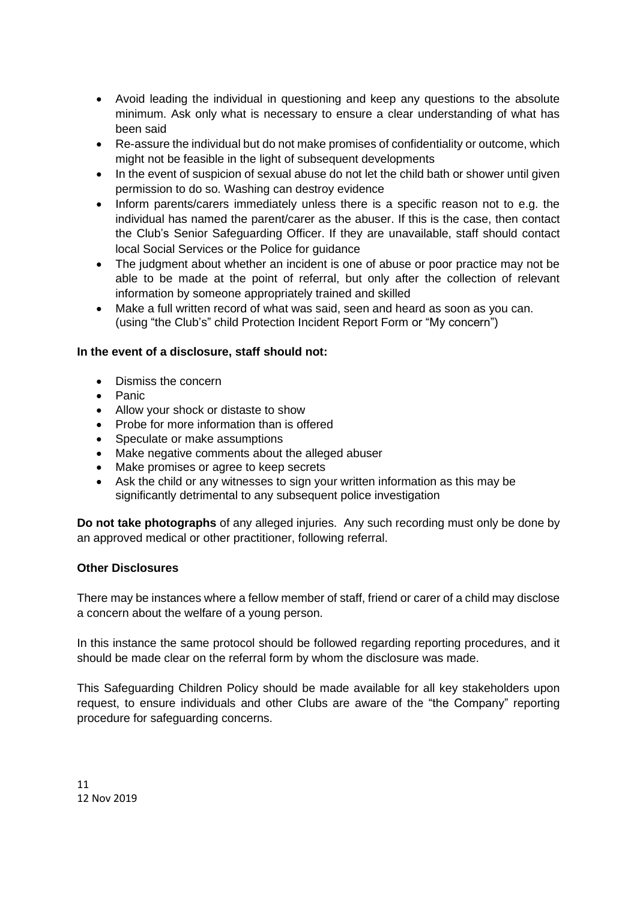- Avoid leading the individual in questioning and keep any questions to the absolute minimum. Ask only what is necessary to ensure a clear understanding of what has been said
- Re-assure the individual but do not make promises of confidentiality or outcome, which might not be feasible in the light of subsequent developments
- In the event of suspicion of sexual abuse do not let the child bath or shower until given permission to do so. Washing can destroy evidence
- Inform parents/carers immediately unless there is a specific reason not to e.g. the individual has named the parent/carer as the abuser. If this is the case, then contact the Club's Senior Safeguarding Officer. If they are unavailable, staff should contact local Social Services or the Police for guidance
- The judgment about whether an incident is one of abuse or poor practice may not be able to be made at the point of referral, but only after the collection of relevant information by someone appropriately trained and skilled
- Make a full written record of what was said, seen and heard as soon as you can. (using "the Club's" child Protection Incident Report Form or "My concern")

#### **In the event of a disclosure, staff should not:**

- Dismiss the concern
- Panic
- Allow your shock or distaste to show
- Probe for more information than is offered
- Speculate or make assumptions
- Make negative comments about the alleged abuser
- Make promises or agree to keep secrets
- Ask the child or any witnesses to sign your written information as this may be significantly detrimental to any subsequent police investigation

**Do not take photographs** of any alleged injuries. Any such recording must only be done by an approved medical or other practitioner, following referral.

#### **Other Disclosures**

There may be instances where a fellow member of staff, friend or carer of a child may disclose a concern about the welfare of a young person.

In this instance the same protocol should be followed regarding reporting procedures, and it should be made clear on the referral form by whom the disclosure was made.

This Safeguarding Children Policy should be made available for all key stakeholders upon request, to ensure individuals and other Clubs are aware of the "the Company" reporting procedure for safeguarding concerns.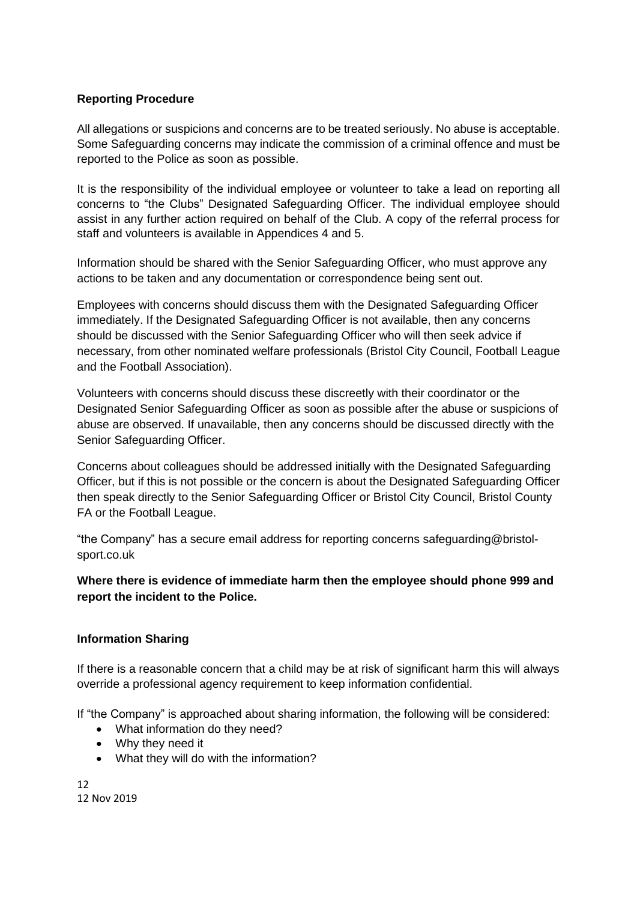#### **Reporting Procedure**

All allegations or suspicions and concerns are to be treated seriously. No abuse is acceptable. Some Safeguarding concerns may indicate the commission of a criminal offence and must be reported to the Police as soon as possible.

It is the responsibility of the individual employee or volunteer to take a lead on reporting all concerns to "the Clubs" Designated Safeguarding Officer. The individual employee should assist in any further action required on behalf of the Club. A copy of the referral process for staff and volunteers is available in Appendices 4 and 5.

Information should be shared with the Senior Safeguarding Officer, who must approve any actions to be taken and any documentation or correspondence being sent out.

Employees with concerns should discuss them with the Designated Safeguarding Officer immediately. If the Designated Safeguarding Officer is not available, then any concerns should be discussed with the Senior Safeguarding Officer who will then seek advice if necessary, from other nominated welfare professionals (Bristol City Council, Football League and the Football Association).

Volunteers with concerns should discuss these discreetly with their coordinator or the Designated Senior Safeguarding Officer as soon as possible after the abuse or suspicions of abuse are observed. If unavailable, then any concerns should be discussed directly with the Senior Safeguarding Officer.

Concerns about colleagues should be addressed initially with the Designated Safeguarding Officer, but if this is not possible or the concern is about the Designated Safeguarding Officer then speak directly to the Senior Safeguarding Officer or Bristol City Council, Bristol County FA or the Football League.

"the Company" has a secure email address for reporting concerns safeguarding@bristolsport.co.uk

**Where there is evidence of immediate harm then the employee should phone 999 and report the incident to the Police.**

#### **Information Sharing**

If there is a reasonable concern that a child may be at risk of significant harm this will always override a professional agency requirement to keep information confidential.

If "the Company" is approached about sharing information, the following will be considered:

- What information do they need?
- Why they need it
- What they will do with the information?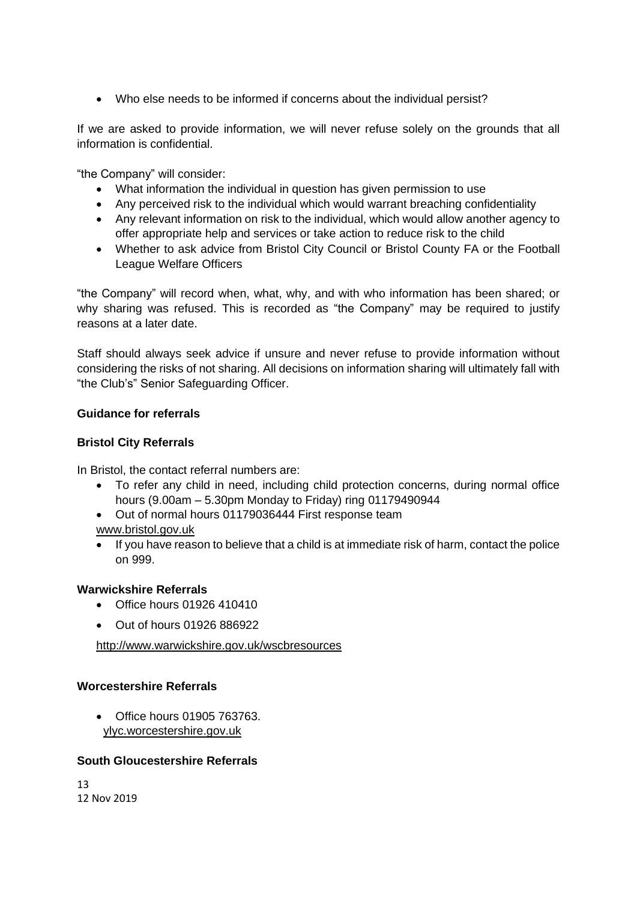• Who else needs to be informed if concerns about the individual persist?

If we are asked to provide information, we will never refuse solely on the grounds that all information is confidential.

"the Company" will consider:

- What information the individual in question has given permission to use
- Any perceived risk to the individual which would warrant breaching confidentiality
- Any relevant information on risk to the individual, which would allow another agency to offer appropriate help and services or take action to reduce risk to the child
- Whether to ask advice from Bristol City Council or Bristol County FA or the Football League Welfare Officers

"the Company" will record when, what, why, and with who information has been shared; or why sharing was refused. This is recorded as "the Company" may be required to justify reasons at a later date.

Staff should always seek advice if unsure and never refuse to provide information without considering the risks of not sharing. All decisions on information sharing will ultimately fall with "the Club's" Senior Safeguarding Officer.

#### **Guidance for referrals**

#### **Bristol City Referrals**

In Bristol, the contact referral numbers are:

- To refer any child in need, including child protection concerns, during normal office hours (9.00am – 5.30pm Monday to Friday) ring 01179490944
- Out of normal hours 01179036444 First response team

www.bristol.gov.uk

• If you have reason to believe that a child is at immediate risk of harm, contact the police on 999.

#### **Warwickshire Referrals**

- Office hours 01926 410410
- Out of hours 01926 886922

<http://www.warwickshire.gov.uk/wscbresources>

#### **Worcestershire Referrals**

• Office hours 01905 763763. ylyc.worcestershire.gov.uk

#### **South Gloucestershire Referrals**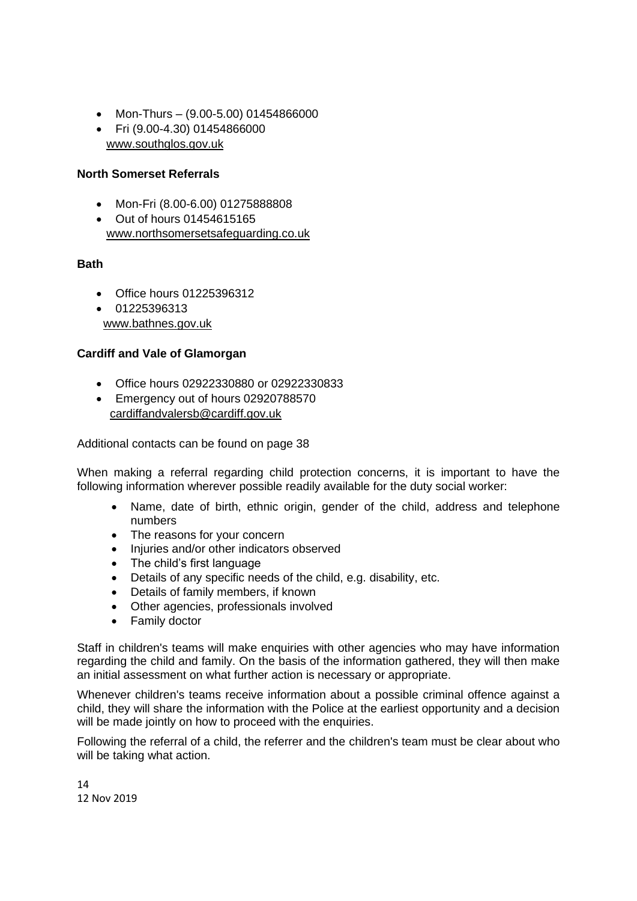- Mon-Thurs (9.00-5.00) 01454866000
- Fri (9.00-4.30) 01454866000 [www.southglos.gov.uk](http://www.southglos.gov.uk/)

#### **North Somerset Referrals**

- Mon-Fri (8.00-6.00) 01275888808
- Out of hours 01454615165 www.northsomersetsafeguarding.co.uk

#### **Bath**

- Office hours 01225396312
- 01225396313 www.bathnes.gov.uk

#### **Cardiff and Vale of Glamorgan**

- Office hours 02922330880 or 02922330833
- Emergency out of hours 02920788570 [cardiffandvalersb@cardiff.gov.uk](mailto:cardiffandvalersb@cardiff.gov.uk)

Additional contacts can be found on page 38

When making a referral regarding child protection concerns, it is important to have the following information wherever possible readily available for the duty social worker:

- Name, date of birth, ethnic origin, gender of the child, address and telephone numbers
- The reasons for your concern
- Injuries and/or other indicators observed
- The child's first language
- Details of any specific needs of the child, e.g. disability, etc.
- Details of family members, if known
- Other agencies, professionals involved
- Family doctor

Staff in children's teams will make enquiries with other agencies who may have information regarding the child and family. On the basis of the information gathered, they will then make an initial assessment on what further action is necessary or appropriate.

Whenever children's teams receive information about a possible criminal offence against a child, they will share the information with the Police at the earliest opportunity and a decision will be made jointly on how to proceed with the enquiries.

Following the referral of a child, the referrer and the children's team must be clear about who will be taking what action.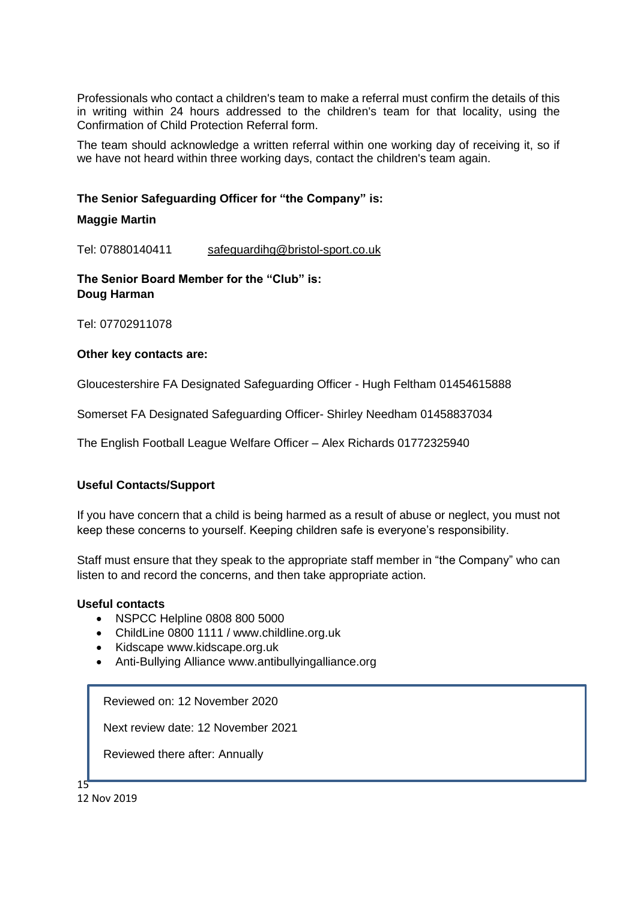Professionals who contact a children's team to make a referral must confirm the details of this in writing within 24 hours addressed to the children's team for that locality, using the Confirmation of Child Protection Referral form.

The team should acknowledge a written referral within one working day of receiving it, so if we have not heard within three working days, contact the children's team again.

#### **The Senior Safeguarding Officer for "the Company" is:**

#### **Maggie Martin**

Tel: 07880140411 safeguardihg@bristol-sport.co.uk

**The Senior Board Member for the "Club" is: Doug Harman** 

Tel: 07702911078

#### **Other key contacts are:**

Gloucestershire FA Designated Safeguarding Officer - Hugh Feltham 01454615888

Somerset FA Designated Safeguarding Officer- Shirley Needham 01458837034

The English Football League Welfare Officer – Alex Richards 01772325940

#### **Useful Contacts/Support**

If you have concern that a child is being harmed as a result of abuse or neglect, you must not keep these concerns to yourself. Keeping children safe is everyone's responsibility.

Staff must ensure that they speak to the appropriate staff member in "the Company" who can listen to and record the concerns, and then take appropriate action.

#### **Useful contacts**

- NSPCC Helpline 0808 800 5000
- ChildLine 0800 1111 / www.childline.org.uk
- Kidscape www.kidscape.org.uk
- Anti-Bullying Alliance www.antibullyingalliance.org

Reviewed on: 12 November 2020

Next review date: 12 November 2021

Reviewed there after: Annually

15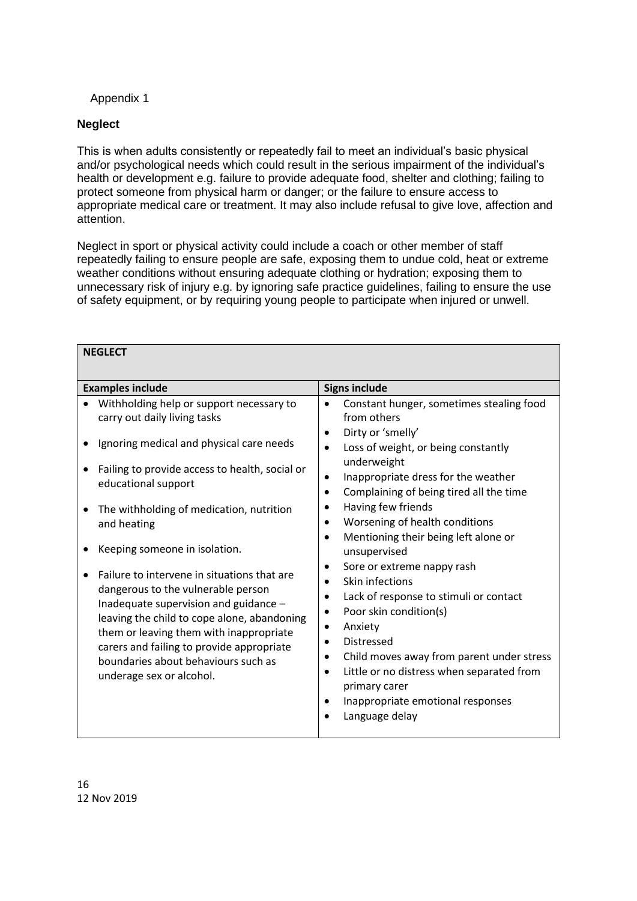#### Appendix 1

#### **Neglect**

This is when adults consistently or repeatedly fail to meet an individual's basic physical and/or psychological needs which could result in the serious impairment of the individual's health or development e.g. failure to provide adequate food, shelter and clothing; failing to protect someone from physical harm or danger; or the failure to ensure access to appropriate medical care or treatment. It may also include refusal to give love, affection and attention.

Neglect in sport or physical activity could include a coach or other member of staff repeatedly failing to ensure people are safe, exposing them to undue cold, heat or extreme weather conditions without ensuring adequate clothing or hydration; exposing them to unnecessary risk of injury e.g. by ignoring safe practice guidelines, failing to ensure the use of safety equipment, or by requiring young people to participate when injured or unwell.

| <b>NEGLECT</b>                                                                                                                                                                                                                                                                                                                                                                                                          |                                                                                                                                                                                                                                                                                                                                                                                                                                                                                                                                              |
|-------------------------------------------------------------------------------------------------------------------------------------------------------------------------------------------------------------------------------------------------------------------------------------------------------------------------------------------------------------------------------------------------------------------------|----------------------------------------------------------------------------------------------------------------------------------------------------------------------------------------------------------------------------------------------------------------------------------------------------------------------------------------------------------------------------------------------------------------------------------------------------------------------------------------------------------------------------------------------|
| <b>Examples include</b>                                                                                                                                                                                                                                                                                                                                                                                                 | <b>Signs include</b>                                                                                                                                                                                                                                                                                                                                                                                                                                                                                                                         |
| Withholding help or support necessary to<br>carry out daily living tasks<br>Ignoring medical and physical care needs<br>Failing to provide access to health, social or<br>educational support<br>The withholding of medication, nutrition<br>and heating<br>Keeping someone in isolation.<br>Failure to intervene in situations that are<br>dangerous to the vulnerable person<br>Inadequate supervision and guidance - | Constant hunger, sometimes stealing food<br>from others<br>Dirty or 'smelly'<br>$\bullet$<br>Loss of weight, or being constantly<br>$\bullet$<br>underweight<br>Inappropriate dress for the weather<br>$\bullet$<br>Complaining of being tired all the time<br>$\bullet$<br>Having few friends<br>Worsening of health conditions<br>Mentioning their being left alone or<br>$\bullet$<br>unsupervised<br>Sore or extreme nappy rash<br>Skin infections<br>Lack of response to stimuli or contact<br>٠<br>Poor skin condition(s)<br>$\bullet$ |
| leaving the child to cope alone, abandoning<br>them or leaving them with inappropriate<br>carers and failing to provide appropriate<br>boundaries about behaviours such as<br>underage sex or alcohol.                                                                                                                                                                                                                  | Anxiety<br>$\bullet$<br>Distressed<br>$\bullet$<br>Child moves away from parent under stress<br>٠<br>Little or no distress when separated from<br>$\bullet$<br>primary carer<br>Inappropriate emotional responses<br>Language delay<br>$\bullet$                                                                                                                                                                                                                                                                                             |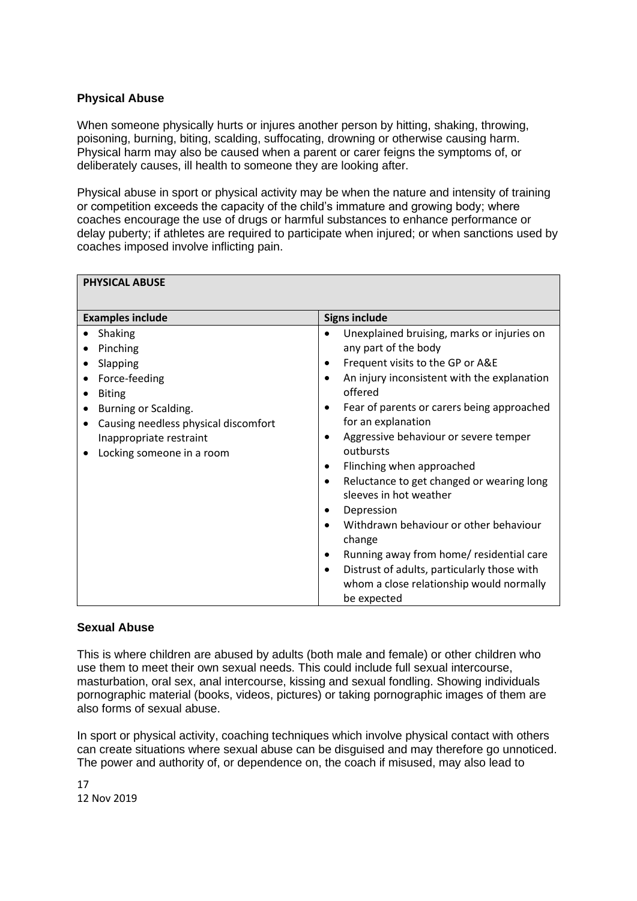#### **Physical Abuse**

When someone physically hurts or injures another person by hitting, shaking, throwing, poisoning, burning, biting, scalding, suffocating, drowning or otherwise causing harm. Physical harm may also be caused when a parent or carer feigns the symptoms of, or deliberately causes, ill health to someone they are looking after.

Physical abuse in sport or physical activity may be when the nature and intensity of training or competition exceeds the capacity of the child's immature and growing body; where coaches encourage the use of drugs or harmful substances to enhance performance or delay puberty; if athletes are required to participate when injured; or when sanctions used by coaches imposed involve inflicting pain.

| <b>PHYSICAL ABUSE</b>                             |                                                                                  |  |
|---------------------------------------------------|----------------------------------------------------------------------------------|--|
| <b>Signs include</b><br><b>Examples include</b>   |                                                                                  |  |
| Shaking                                           | Unexplained bruising, marks or injuries on                                       |  |
| Pinching                                          | any part of the body                                                             |  |
| Slapping                                          | Frequent visits to the GP or A&E                                                 |  |
| Force-feeding                                     | An injury inconsistent with the explanation                                      |  |
| <b>Biting</b>                                     | offered                                                                          |  |
| Burning or Scalding.                              | Fear of parents or carers being approached                                       |  |
| Causing needless physical discomfort<br>$\bullet$ | for an explanation                                                               |  |
| Inappropriate restraint                           | Aggressive behaviour or severe temper<br>٠                                       |  |
| Locking someone in a room                         | outbursts                                                                        |  |
|                                                   | Flinching when approached                                                        |  |
|                                                   | Reluctance to get changed or wearing long<br>$\bullet$<br>sleeves in hot weather |  |
|                                                   | Depression                                                                       |  |
|                                                   | Withdrawn behaviour or other behaviour<br>change                                 |  |
|                                                   | Running away from home/ residential care                                         |  |
|                                                   | Distrust of adults, particularly those with<br>$\bullet$                         |  |
|                                                   | whom a close relationship would normally<br>be expected                          |  |

#### **Sexual Abuse**

This is where children are abused by adults (both male and female) or other children who use them to meet their own sexual needs. This could include full sexual intercourse, masturbation, oral sex, anal intercourse, kissing and sexual fondling. Showing individuals pornographic material (books, videos, pictures) or taking pornographic images of them are also forms of sexual abuse.

In sport or physical activity, coaching techniques which involve physical contact with others can create situations where sexual abuse can be disguised and may therefore go unnoticed. The power and authority of, or dependence on, the coach if misused, may also lead to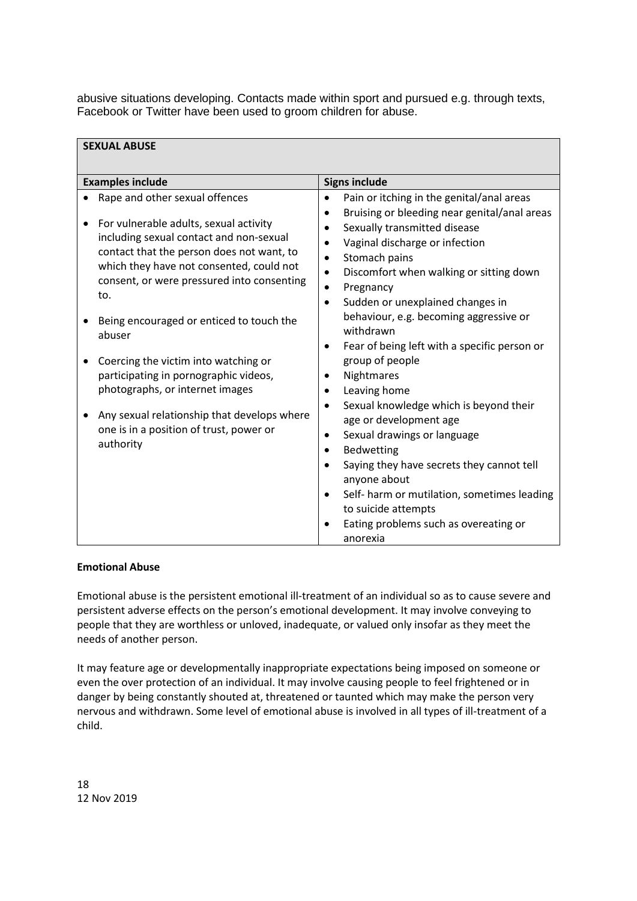abusive situations developing. Contacts made within sport and pursued e.g. through texts, Facebook or Twitter have been used to groom children for abuse.

| <b>SEXUAL ABUSE</b>                                                                                                                                                                                                                                               |                                                                                                                                                                                                                                                                                                    |
|-------------------------------------------------------------------------------------------------------------------------------------------------------------------------------------------------------------------------------------------------------------------|----------------------------------------------------------------------------------------------------------------------------------------------------------------------------------------------------------------------------------------------------------------------------------------------------|
| <b>Examples include</b>                                                                                                                                                                                                                                           | <b>Signs include</b>                                                                                                                                                                                                                                                                               |
| Rape and other sexual offences<br>For vulnerable adults, sexual activity<br>including sexual contact and non-sexual<br>contact that the person does not want, to<br>which they have not consented, could not<br>consent, or were pressured into consenting<br>to. | Pain or itching in the genital/anal areas<br>$\bullet$<br>Bruising or bleeding near genital/anal areas<br>Sexually transmitted disease<br>Vaginal discharge or infection<br>Stomach pains<br>Discomfort when walking or sitting down<br>Pregnancy<br>Sudden or unexplained changes in<br>$\bullet$ |
| Being encouraged or enticed to touch the<br>abuser                                                                                                                                                                                                                | behaviour, e.g. becoming aggressive or<br>withdrawn<br>Fear of being left with a specific person or<br>$\bullet$                                                                                                                                                                                   |
| Coercing the victim into watching or<br>٠<br>participating in pornographic videos,<br>photographs, or internet images<br>Any sexual relationship that develops where<br>one is in a position of trust, power or<br>authority                                      | group of people<br>Nightmares<br>Leaving home<br>Sexual knowledge which is beyond their<br>age or development age<br>Sexual drawings or language<br>٠                                                                                                                                              |
|                                                                                                                                                                                                                                                                   | Bedwetting<br>Saying they have secrets they cannot tell<br>anyone about<br>Self-harm or mutilation, sometimes leading<br>$\bullet$<br>to suicide attempts<br>Eating problems such as overeating or<br>anorexia                                                                                     |

#### **Emotional Abuse**

Emotional abuse is the persistent emotional ill-treatment of an individual so as to cause severe and persistent adverse effects on the person's emotional development. It may involve conveying to people that they are worthless or unloved, inadequate, or valued only insofar as they meet the needs of another person.

It may feature age or developmentally inappropriate expectations being imposed on someone or even the over protection of an individual. It may involve causing people to feel frightened or in danger by being constantly shouted at, threatened or taunted which may make the person very nervous and withdrawn. Some level of emotional abuse is involved in all types of ill-treatment of a child.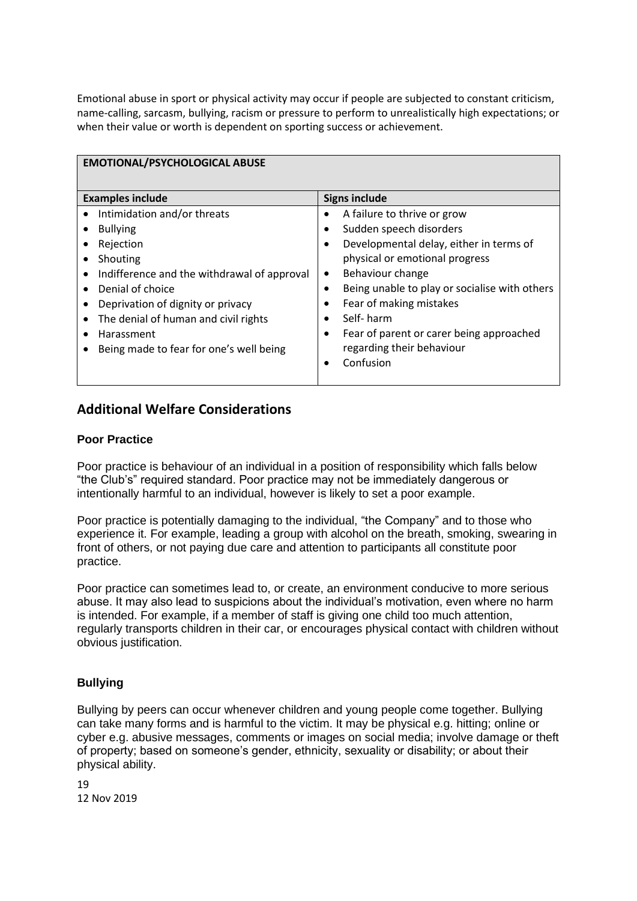Emotional abuse in sport or physical activity may occur if people are subjected to constant criticism, name-calling, sarcasm, bullying, racism or pressure to perform to unrealistically high expectations; or when their value or worth is dependent on sporting success or achievement.

| <b>EMOTIONAL/PSYCHOLOGICAL ABUSE</b>                                                                                                                                             |                                                                                                                                                                                               |  |  |
|----------------------------------------------------------------------------------------------------------------------------------------------------------------------------------|-----------------------------------------------------------------------------------------------------------------------------------------------------------------------------------------------|--|--|
| <b>Examples include</b>                                                                                                                                                          | <b>Signs include</b>                                                                                                                                                                          |  |  |
| Intimidation and/or threats<br><b>Bullying</b><br>$\bullet$<br>Rejection<br>Shouting<br>$\bullet$<br>Indifference and the withdrawal of approval<br>$\bullet$                    | A failure to thrive or grow<br>Sudden speech disorders<br>Developmental delay, either in terms of<br>$\bullet$<br>physical or emotional progress<br>Behaviour change<br>$\bullet$             |  |  |
| Denial of choice<br>$\bullet$<br>Deprivation of dignity or privacy<br>The denial of human and civil rights<br>$\bullet$<br>Harassment<br>Being made to fear for one's well being | Being unable to play or socialise with others<br>Fear of making mistakes<br>Self-harm<br>$\bullet$<br>Fear of parent or carer being approached<br>٠<br>regarding their behaviour<br>Confusion |  |  |

#### **Additional Welfare Considerations**

#### **Poor Practice**

Poor practice is behaviour of an individual in a position of responsibility which falls below "the Club's" required standard. Poor practice may not be immediately dangerous or intentionally harmful to an individual, however is likely to set a poor example.

Poor practice is potentially damaging to the individual, "the Company" and to those who experience it. For example, leading a group with alcohol on the breath, smoking, swearing in front of others, or not paying due care and attention to participants all constitute poor practice.

Poor practice can sometimes lead to, or create, an environment conducive to more serious abuse. It may also lead to suspicions about the individual's motivation, even where no harm is intended. For example, if a member of staff is giving one child too much attention, regularly transports children in their car, or encourages physical contact with children without obvious justification.

#### **Bullying**

Bullying by peers can occur whenever children and young people come together. Bullying can take many forms and is harmful to the victim. It may be physical e.g. hitting; online or cyber e.g. abusive messages, comments or images on social media; involve damage or theft of property; based on someone's gender, ethnicity, sexuality or disability; or about their physical ability.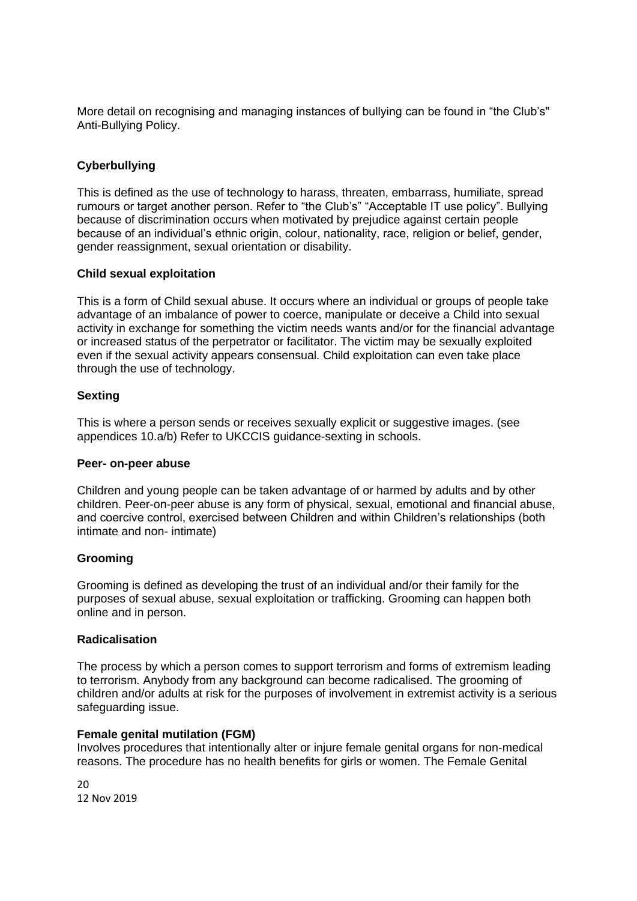More detail on recognising and managing instances of bullying can be found in "the Club's" Anti-Bullying Policy.

#### **Cyberbullying**

This is defined as the use of technology to harass, threaten, embarrass, humiliate, spread rumours or target another person. Refer to "the Club's" "Acceptable IT use policy". Bullying because of discrimination occurs when motivated by prejudice against certain people because of an individual's ethnic origin, colour, nationality, race, religion or belief, gender, gender reassignment, sexual orientation or disability.

#### **Child sexual exploitation**

This is a form of Child sexual abuse. It occurs where an individual or groups of people take advantage of an imbalance of power to coerce, manipulate or deceive a Child into sexual activity in exchange for something the victim needs wants and/or for the financial advantage or increased status of the perpetrator or facilitator. The victim may be sexually exploited even if the sexual activity appears consensual. Child exploitation can even take place through the use of technology.

#### **Sexting**

This is where a person sends or receives sexually explicit or suggestive images. (see appendices 10.a/b) Refer to UKCCIS guidance-sexting in schools.

#### **Peer- on-peer abuse**

Children and young people can be taken advantage of or harmed by adults and by other children. Peer-on-peer abuse is any form of physical, sexual, emotional and financial abuse, and coercive control, exercised between Children and within Children's relationships (both intimate and non- intimate)

#### **Grooming**

Grooming is defined as developing the trust of an individual and/or their family for the purposes of sexual abuse, sexual exploitation or trafficking. Grooming can happen both online and in person.

#### **Radicalisation**

The process by which a person comes to support terrorism and forms of extremism leading to terrorism. Anybody from any background can become radicalised. The grooming of children and/or adults at risk for the purposes of involvement in extremist activity is a serious safeguarding issue.

#### **Female genital mutilation (FGM)**

Involves procedures that intentionally alter or injure female genital organs for non-medical reasons. The procedure has no health benefits for girls or women. The Female Genital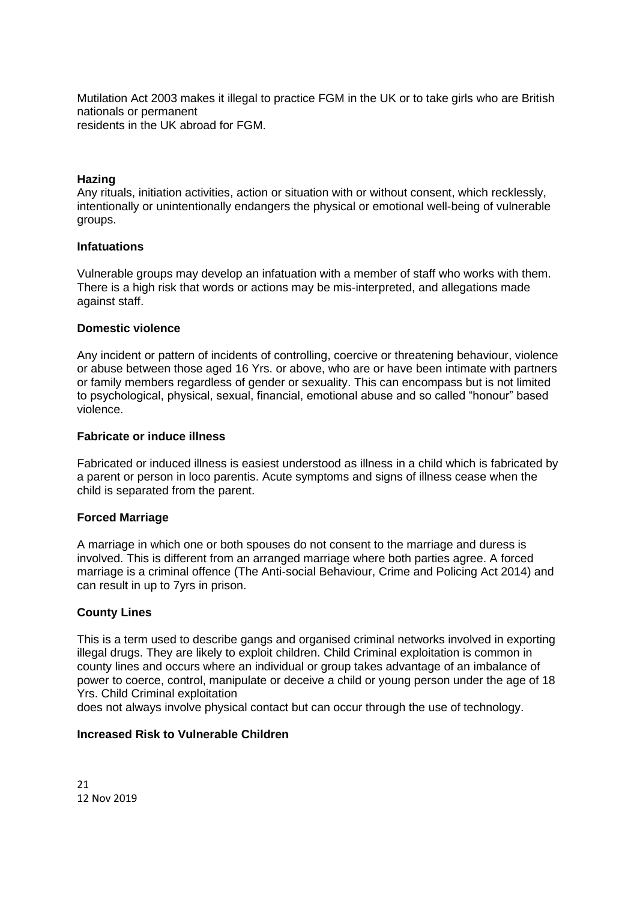Mutilation Act 2003 makes it illegal to practice FGM in the UK or to take girls who are British nationals or permanent residents in the UK abroad for FGM.

#### **Hazing**

Any rituals, initiation activities, action or situation with or without consent, which recklessly, intentionally or unintentionally endangers the physical or emotional well-being of vulnerable groups.

#### **Infatuations**

Vulnerable groups may develop an infatuation with a member of staff who works with them. There is a high risk that words or actions may be mis-interpreted, and allegations made against staff.

#### **Domestic violence**

Any incident or pattern of incidents of controlling, coercive or threatening behaviour, violence or abuse between those aged 16 Yrs. or above, who are or have been intimate with partners or family members regardless of gender or sexuality. This can encompass but is not limited to psychological, physical, sexual, financial, emotional abuse and so called "honour" based violence.

#### **Fabricate or induce illness**

Fabricated or induced illness is easiest understood as illness in a child which is fabricated by a parent or person in loco parentis. Acute symptoms and signs of illness cease when the child is separated from the parent.

#### **Forced Marriage**

A marriage in which one or both spouses do not consent to the marriage and duress is involved. This is different from an arranged marriage where both parties agree. A forced marriage is a criminal offence (The Anti-social Behaviour, Crime and Policing Act 2014) and can result in up to 7yrs in prison.

#### **County Lines**

This is a term used to describe gangs and organised criminal networks involved in exporting illegal drugs. They are likely to exploit children. Child Criminal exploitation is common in county lines and occurs where an individual or group takes advantage of an imbalance of power to coerce, control, manipulate or deceive a child or young person under the age of 18 Yrs. Child Criminal exploitation

does not always involve physical contact but can occur through the use of technology.

#### **Increased Risk to Vulnerable Children**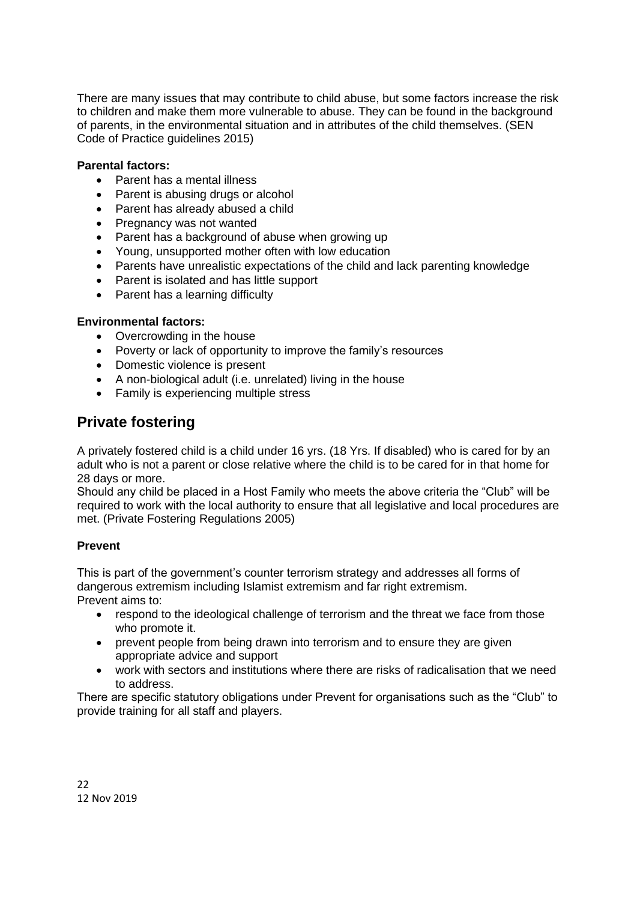There are many issues that may contribute to child abuse, but some factors increase the risk to children and make them more vulnerable to abuse. They can be found in the background of parents, in the environmental situation and in attributes of the child themselves. (SEN Code of Practice guidelines 2015)

#### **Parental factors:**

- Parent has a mental illness
- Parent is abusing drugs or alcohol
- Parent has already abused a child
- Pregnancy was not wanted
- Parent has a background of abuse when growing up
- Young, unsupported mother often with low education
- Parents have unrealistic expectations of the child and lack parenting knowledge
- Parent is isolated and has little support
- Parent has a learning difficulty

#### **Environmental factors:**

- Overcrowding in the house
- Poverty or lack of opportunity to improve the family's resources
- Domestic violence is present
- A non-biological adult (i.e. unrelated) living in the house
- Family is experiencing multiple stress

# **Private fostering**

A privately fostered child is a child under 16 yrs. (18 Yrs. If disabled) who is cared for by an adult who is not a parent or close relative where the child is to be cared for in that home for 28 days or more.

Should any child be placed in a Host Family who meets the above criteria the "Club" will be required to work with the local authority to ensure that all legislative and local procedures are met. (Private Fostering Regulations 2005)

#### **Prevent**

This is part of the government's counter terrorism strategy and addresses all forms of dangerous extremism including Islamist extremism and far right extremism. Prevent aims to:

- respond to the ideological challenge of terrorism and the threat we face from those who promote it.
- prevent people from being drawn into terrorism and to ensure they are given appropriate advice and support
- work with sectors and institutions where there are risks of radicalisation that we need to address.

There are specific statutory obligations under Prevent for organisations such as the "Club" to provide training for all staff and players.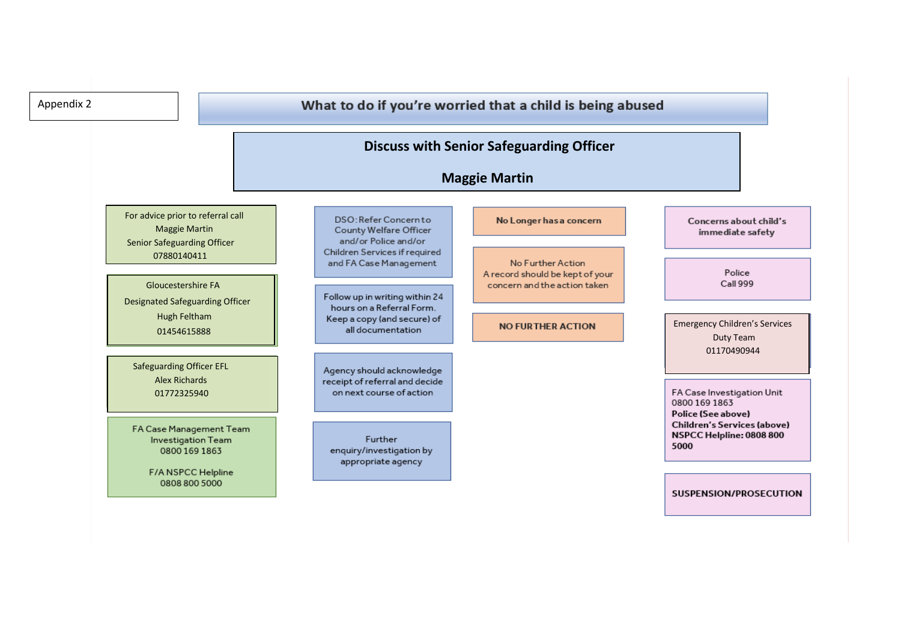| Appendix 2 |                                                                                                 |                                                                                                                 | What to do if you're worried that a child is being abused                            |                                                                                                               |
|------------|-------------------------------------------------------------------------------------------------|-----------------------------------------------------------------------------------------------------------------|--------------------------------------------------------------------------------------|---------------------------------------------------------------------------------------------------------------|
|            |                                                                                                 |                                                                                                                 | <b>Discuss with Senior Safeguarding Officer</b><br><b>Maggie Martin</b>              |                                                                                                               |
|            | For advice prior to referral call<br><b>Maggie Martin</b><br><b>Senior Safeguarding Officer</b> | DSO: Refer Concern to<br>County Welfare Officer<br>and/or Police and/or                                         | No Longer has a concern                                                              | Concerns about child's<br>immediate safety                                                                    |
|            | 07880140411<br><b>Gloucestershire FA</b>                                                        | Children Services if required<br>and FA Case Management                                                         | No Further Action<br>A record should be kept of your<br>concern and the action taken | Police<br>Call 999                                                                                            |
|            | <b>Designated Safeguarding Officer</b><br>Hugh Feltham<br>01454615888                           | Follow up in writing within 24<br>hours on a Referral Form.<br>Keep a copy (and secure) of<br>all documentation | <b>NO FURTHER ACTION</b>                                                             | <b>Emergency Children's Services</b><br>Duty Team                                                             |
|            | <b>Safeguarding Officer EFL</b><br><b>Alex Richards</b><br>01772325940                          | Agency should acknowledge<br>receipt of referral and decide<br>on next course of action                         |                                                                                      | 01170490944<br>FA Case Investigation Unit                                                                     |
|            | FA Case Management Team<br>Investigation Team<br>0800 169 1863                                  | <b>Further</b><br>enquiry/investigation by                                                                      |                                                                                      | 0800 169 1863<br>Police (See above)<br><b>Children's Services (above)</b><br>NSPCC Helpline: 0808 800<br>5000 |
|            | F/A NSPCC Helpline<br>0808 800 5000                                                             | appropriate agency                                                                                              |                                                                                      | SUSPENSION/PROSECUTION                                                                                        |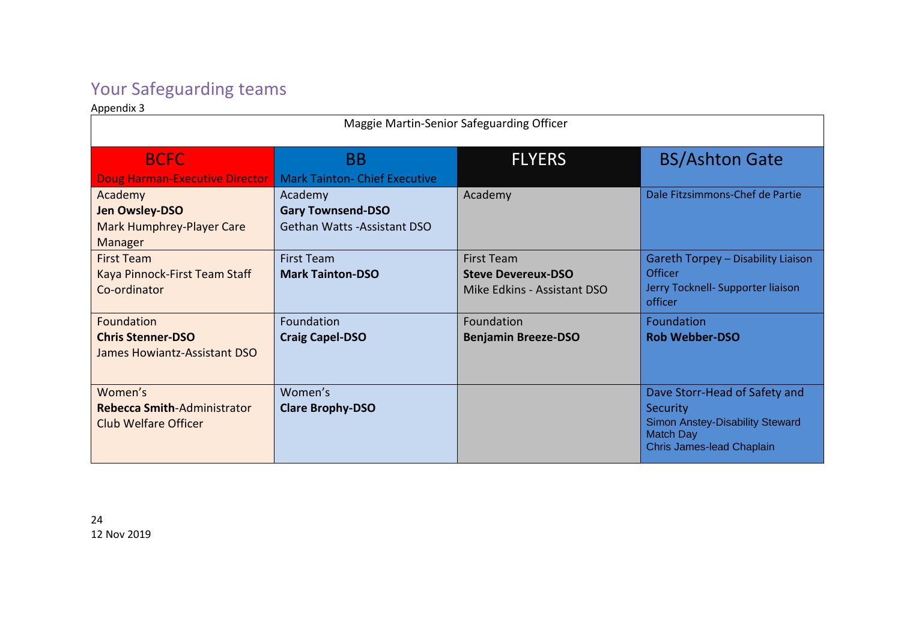# Your Safeguarding teams

Appendix 3

| Maggie Martin-Senior Safeguarding Officer                              |                                                                     |                                                                               |                                                                                                                                      |
|------------------------------------------------------------------------|---------------------------------------------------------------------|-------------------------------------------------------------------------------|--------------------------------------------------------------------------------------------------------------------------------------|
| <b>BCFC</b><br>Doug Harman-Executive Director                          | <b>BB</b><br><b>Mark Tainton- Chief Executive</b>                   | <b>FLYERS</b>                                                                 | <b>BS/Ashton Gate</b>                                                                                                                |
| Academy<br>Jen Owsley-DSO<br>Mark Humphrey-Player Care<br>Manager      | Academy<br><b>Gary Townsend-DSO</b><br>Gethan Watts - Assistant DSO | Academy                                                                       | Dale Fitzsimmons-Chef de Partie                                                                                                      |
| <b>First Team</b><br>Kaya Pinnock-First Team Staff<br>Co-ordinator     | <b>First Team</b><br><b>Mark Tainton-DSO</b>                        | <b>First Team</b><br><b>Steve Devereux-DSO</b><br>Mike Edkins - Assistant DSO | Gareth Torpey - Disability Liaison<br>Officer<br>Jerry Tocknell- Supporter liaison<br>officer                                        |
| Foundation<br><b>Chris Stenner-DSO</b><br>James Howiantz-Assistant DSO | Foundation<br><b>Craig Capel-DSO</b>                                | Foundation<br><b>Benjamin Breeze-DSO</b>                                      | Foundation<br><b>Rob Webber-DSO</b>                                                                                                  |
| Women's<br>Rebecca Smith-Administrator<br><b>Club Welfare Officer</b>  | Women's<br><b>Clare Brophy-DSO</b>                                  |                                                                               | Dave Storr-Head of Safety and<br>Security<br><b>Simon Anstey-Disability Steward</b><br><b>Match Day</b><br>Chris James-lead Chaplain |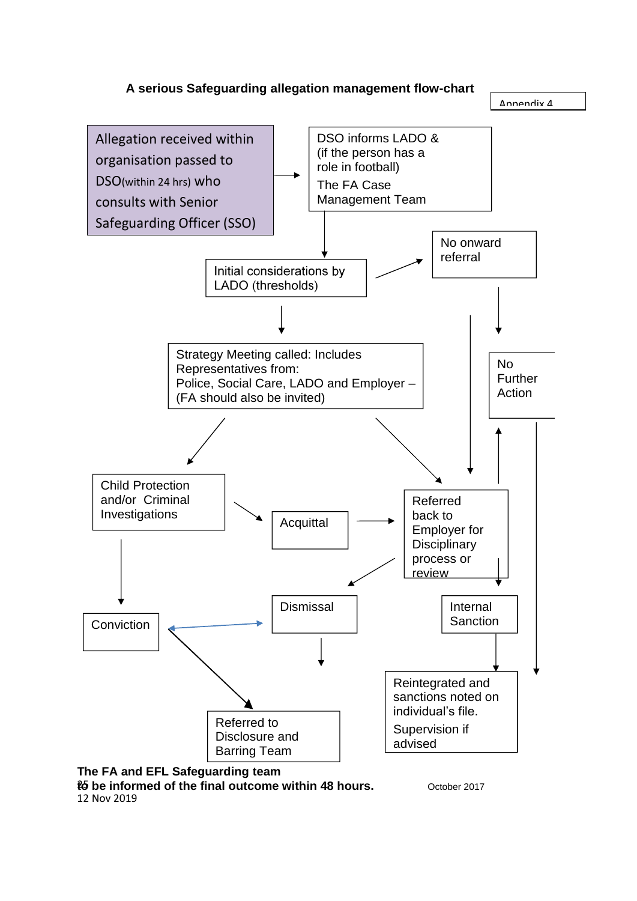



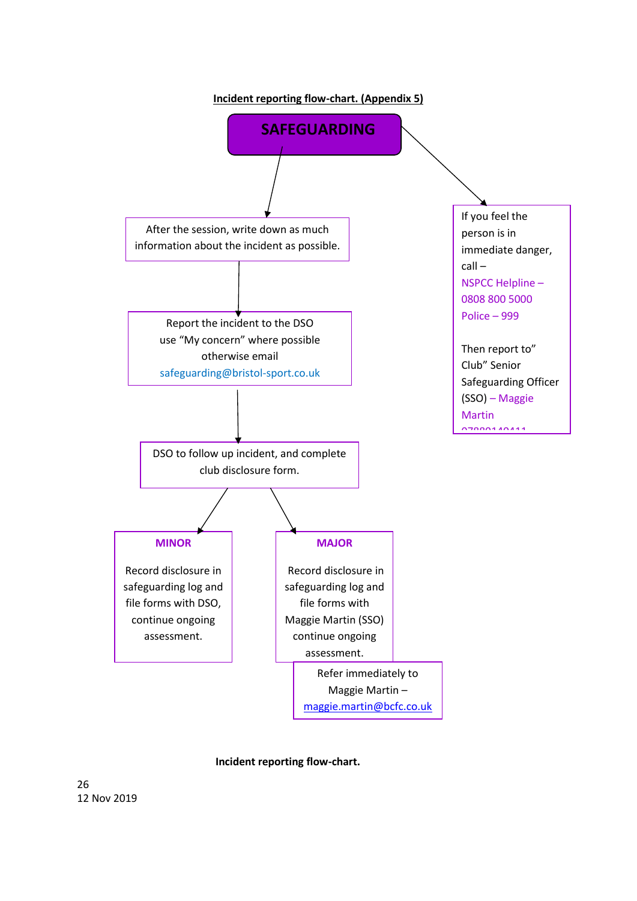

 **Incident reporting flow-chart.**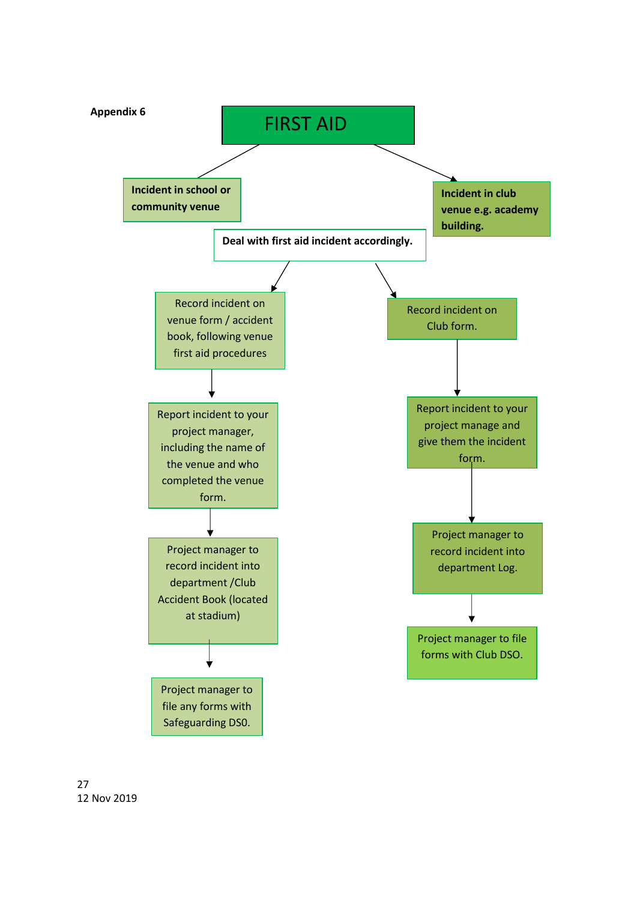

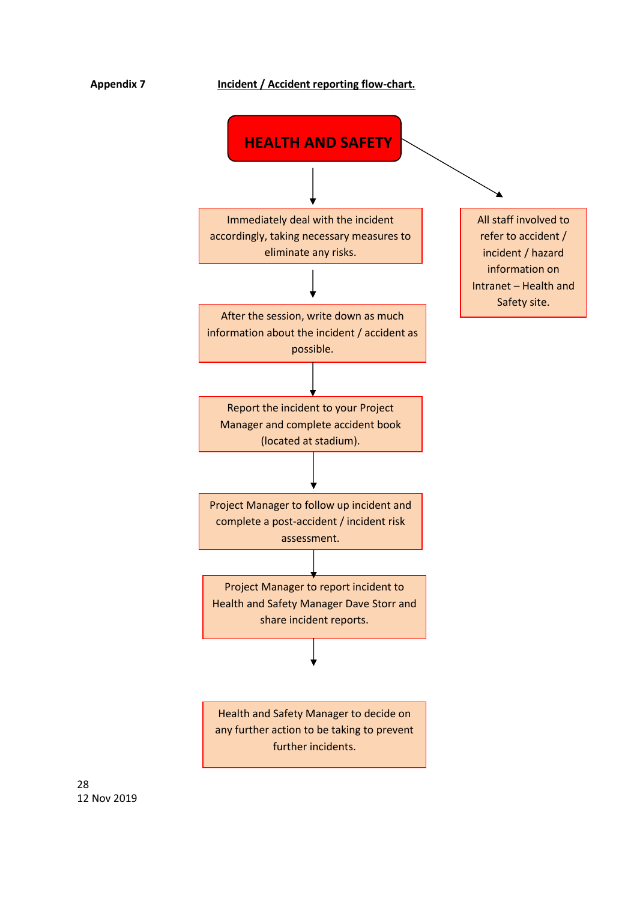

further incidents.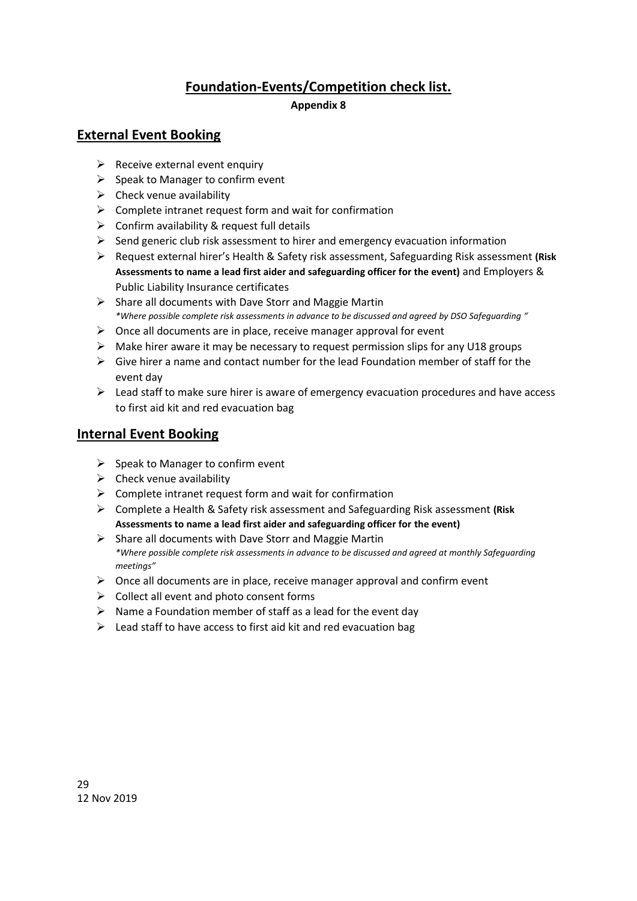# **Foundation-Events/Competition check list.**

#### **Appendix 8**

### **External Event Booking**

- $\triangleright$  Receive external event enquiry
- $\triangleright$  Speak to Manager to confirm event
- $\triangleright$  Check venue availability
- $\triangleright$  Complete intranet request form and wait for confirmation
- $\triangleright$  Confirm availability & request full details
- $\triangleright$  Send generic club risk assessment to hirer and emergency evacuation information
- ➢ Request external hirer's Health & Safety risk assessment, Safeguarding Risk assessment **(Risk Assessments to name a lead first aider and safeguarding officer for the event)** and Employers & Public Liability Insurance certificates
- $\triangleright$  Share all documents with Dave Storr and Maggie Martin *\*Where possible complete risk assessments in advance to be discussed and agreed by DSO Safeguarding "*
- $\triangleright$  Once all documents are in place, receive manager approval for event
- ➢ Make hirer aware it may be necessary to request permission slips for any U18 groups
- $\triangleright$  Give hirer a name and contact number for the lead Foundation member of staff for the event day
- $\triangleright$  Lead staff to make sure hirer is aware of emergency evacuation procedures and have access to first aid kit and red evacuation bag

# **Internal Event Booking**

- $\triangleright$  Speak to Manager to confirm event
- $\triangleright$  Check venue availability
- $\triangleright$  Complete intranet request form and wait for confirmation
- ➢ Complete a Health & Safety risk assessment and Safeguarding Risk assessment **(Risk Assessments to name a lead first aider and safeguarding officer for the event)**
- ➢ Share all documents with Dave Storr and Maggie Martin *\*Where possible complete risk assessments in advance to be discussed and agreed at monthly Safeguarding meetings"*
- ➢ Once all documents are in place, receive manager approval and confirm event
- $\triangleright$  Collect all event and photo consent forms
- $\triangleright$  Name a Foundation member of staff as a lead for the event day
- $\triangleright$  Lead staff to have access to first aid kit and red evacuation bag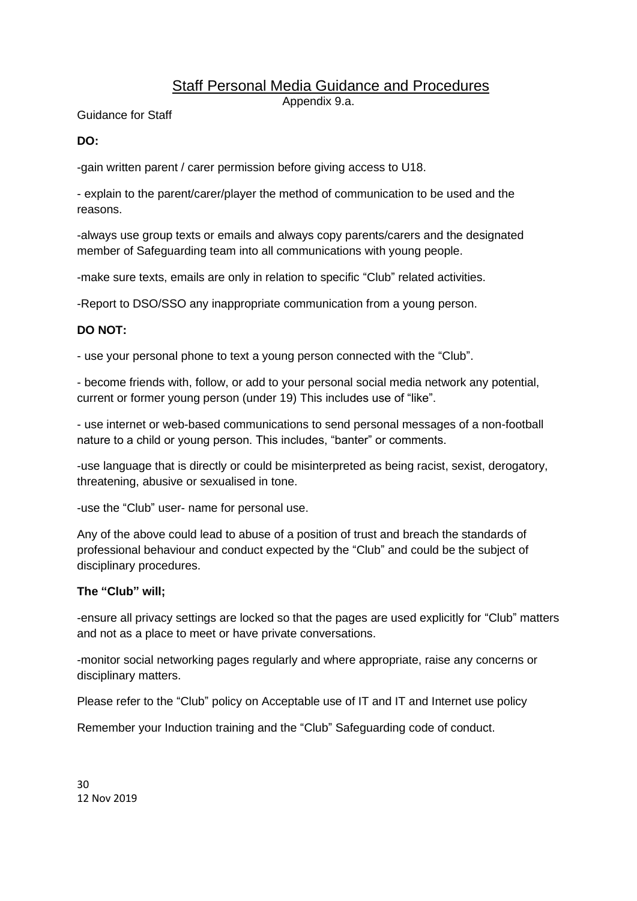# Staff Personal Media Guidance and Procedures

Appendix 9.a.

Guidance for Staff

#### **DO:**

-gain written parent / carer permission before giving access to U18.

- explain to the parent/carer/player the method of communication to be used and the reasons.

-always use group texts or emails and always copy parents/carers and the designated member of Safeguarding team into all communications with young people.

-make sure texts, emails are only in relation to specific "Club" related activities.

-Report to DSO/SSO any inappropriate communication from a young person.

# **DO NOT:**

- use your personal phone to text a young person connected with the "Club".

- become friends with, follow, or add to your personal social media network any potential, current or former young person (under 19) This includes use of "like".

- use internet or web-based communications to send personal messages of a non-football nature to a child or young person. This includes, "banter" or comments.

-use language that is directly or could be misinterpreted as being racist, sexist, derogatory, threatening, abusive or sexualised in tone.

-use the "Club" user- name for personal use.

Any of the above could lead to abuse of a position of trust and breach the standards of professional behaviour and conduct expected by the "Club" and could be the subject of disciplinary procedures.

#### **The "Club" will;**

-ensure all privacy settings are locked so that the pages are used explicitly for "Club" matters and not as a place to meet or have private conversations.

-monitor social networking pages regularly and where appropriate, raise any concerns or disciplinary matters.

Please refer to the "Club" policy on Acceptable use of IT and IT and Internet use policy

Remember your Induction training and the "Club" Safeguarding code of conduct.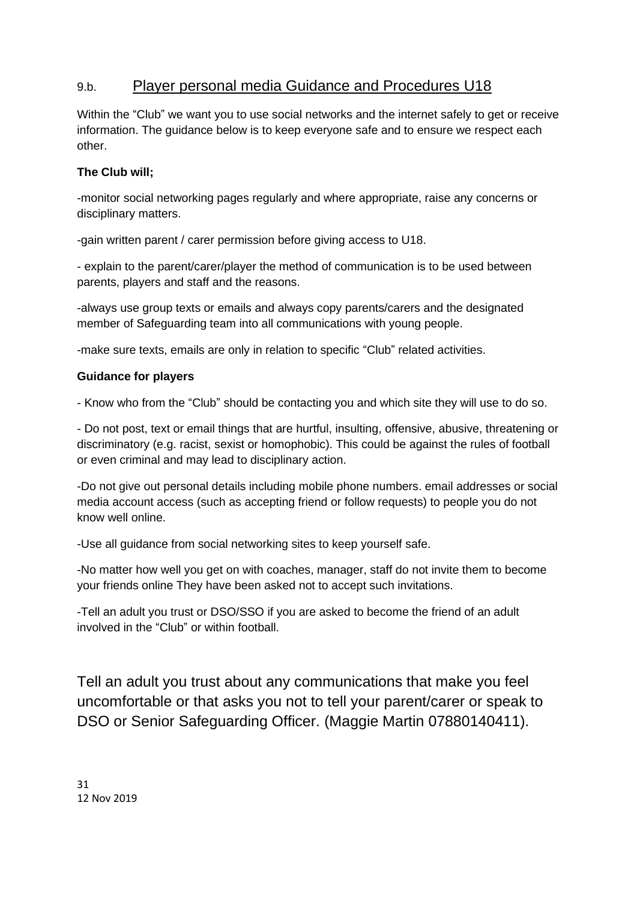# 9.b. Player personal media Guidance and Procedures U18

Within the "Club" we want you to use social networks and the internet safely to get or receive information. The guidance below is to keep everyone safe and to ensure we respect each other.

#### **The Club will;**

-monitor social networking pages regularly and where appropriate, raise any concerns or disciplinary matters.

-gain written parent / carer permission before giving access to U18.

- explain to the parent/carer/player the method of communication is to be used between parents, players and staff and the reasons.

-always use group texts or emails and always copy parents/carers and the designated member of Safeguarding team into all communications with young people.

-make sure texts, emails are only in relation to specific "Club" related activities.

#### **Guidance for players**

- Know who from the "Club" should be contacting you and which site they will use to do so.

- Do not post, text or email things that are hurtful, insulting, offensive, abusive, threatening or discriminatory (e.g. racist, sexist or homophobic). This could be against the rules of football or even criminal and may lead to disciplinary action.

-Do not give out personal details including mobile phone numbers. email addresses or social media account access (such as accepting friend or follow requests) to people you do not know well online.

-Use all guidance from social networking sites to keep yourself safe.

-No matter how well you get on with coaches, manager, staff do not invite them to become your friends online They have been asked not to accept such invitations.

-Tell an adult you trust or DSO/SSO if you are asked to become the friend of an adult involved in the "Club" or within football.

Tell an adult you trust about any communications that make you feel uncomfortable or that asks you not to tell your parent/carer or speak to DSO or Senior Safeguarding Officer. (Maggie Martin 07880140411).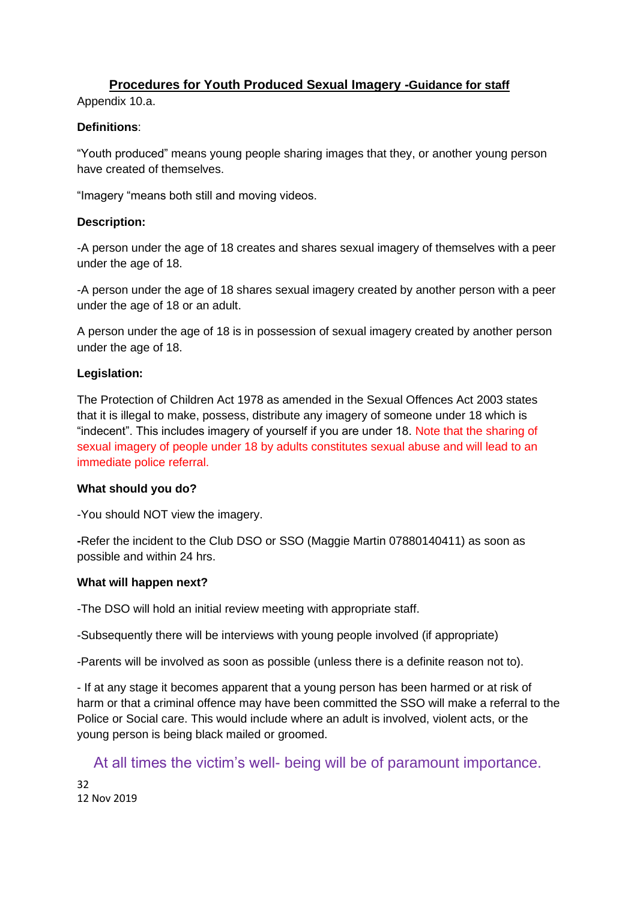# **Procedures for Youth Produced Sexual Imagery -Guidance for staff**

Appendix 10.a.

#### **Definitions**:

"Youth produced" means young people sharing images that they, or another young person have created of themselves.

"Imagery "means both still and moving videos.

#### **Description:**

-A person under the age of 18 creates and shares sexual imagery of themselves with a peer under the age of 18.

-A person under the age of 18 shares sexual imagery created by another person with a peer under the age of 18 or an adult.

A person under the age of 18 is in possession of sexual imagery created by another person under the age of 18.

#### **Legislation:**

The Protection of Children Act 1978 as amended in the Sexual Offences Act 2003 states that it is illegal to make, possess, distribute any imagery of someone under 18 which is "indecent". This includes imagery of yourself if you are under 18. Note that the sharing of sexual imagery of people under 18 by adults constitutes sexual abuse and will lead to an immediate police referral.

#### **What should you do?**

-You should NOT view the imagery.

**-**Refer the incident to the Club DSO or SSO (Maggie Martin 07880140411) as soon as possible and within 24 hrs.

#### **What will happen next?**

-The DSO will hold an initial review meeting with appropriate staff.

-Subsequently there will be interviews with young people involved (if appropriate)

-Parents will be involved as soon as possible (unless there is a definite reason not to).

- If at any stage it becomes apparent that a young person has been harmed or at risk of harm or that a criminal offence may have been committed the SSO will make a referral to the Police or Social care. This would include where an adult is involved, violent acts, or the young person is being black mailed or groomed.

At all times the victim's well- being will be of paramount importance.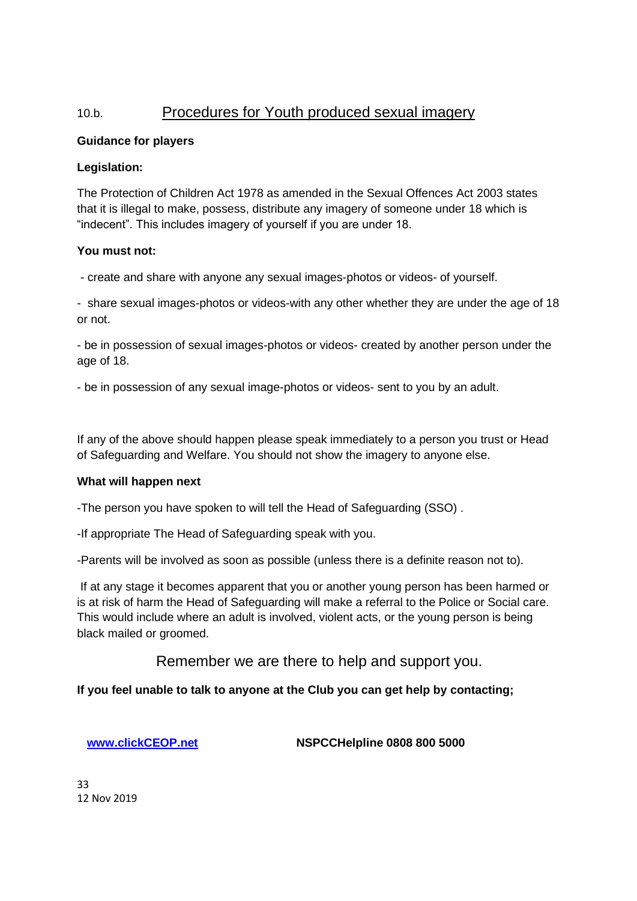# 10.b.Procedures for Youth produced sexual imagery

#### **Guidance for players**

#### **Legislation:**

The Protection of Children Act 1978 as amended in the Sexual Offences Act 2003 states that it is illegal to make, possess, distribute any imagery of someone under 18 which is "indecent". This includes imagery of yourself if you are under 18.

#### **You must not:**

- create and share with anyone any sexual images-photos or videos- of yourself.

- share sexual images-photos or videos-with any other whether they are under the age of 18 or not.

- be in possession of sexual images-photos or videos- created by another person under the age of 18.

- be in possession of any sexual image-photos or videos- sent to you by an adult.

If any of the above should happen please speak immediately to a person you trust or Head of Safeguarding and Welfare. You should not show the imagery to anyone else.

#### **What will happen next**

-The person you have spoken to will tell the Head of Safeguarding (SSO) .

-If appropriate The Head of Safeguarding speak with you.

-Parents will be involved as soon as possible (unless there is a definite reason not to).

If at any stage it becomes apparent that you or another young person has been harmed or is at risk of harm the Head of Safeguarding will make a referral to the Police or Social care. This would include where an adult is involved, violent acts, or the young person is being black mailed or groomed.

Remember we are there to help and support you.

#### **If you feel unable to talk to anyone at the Club you can get help by contacting;**

**[www.clickCEOP.net](http://www.clickceop.net/) NSPCCHelpline 0808 800 5000**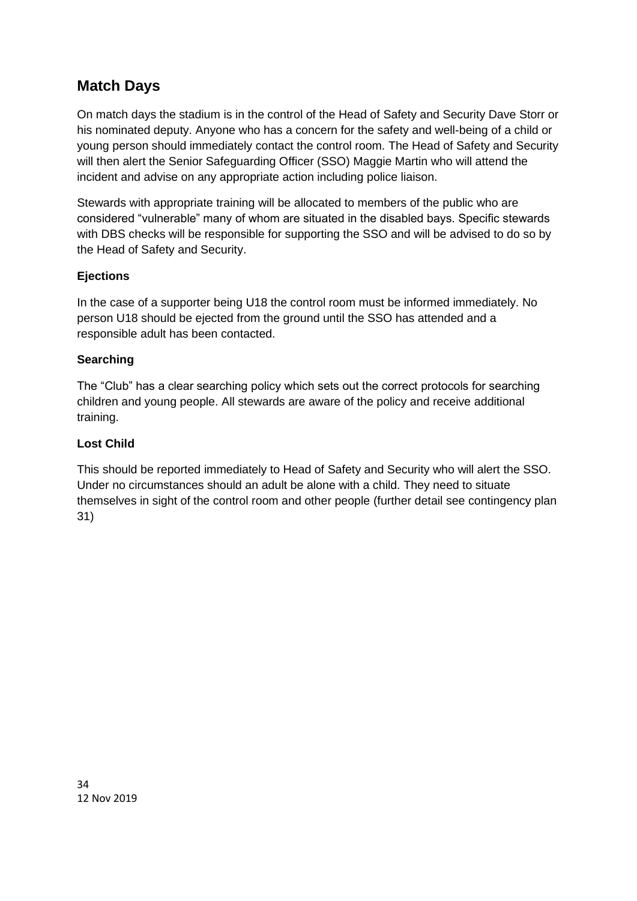# **Match Days**

On match days the stadium is in the control of the Head of Safety and Security Dave Storr or his nominated deputy. Anyone who has a concern for the safety and well-being of a child or young person should immediately contact the control room. The Head of Safety and Security will then alert the Senior Safeguarding Officer (SSO) Maggie Martin who will attend the incident and advise on any appropriate action including police liaison.

Stewards with appropriate training will be allocated to members of the public who are considered "vulnerable" many of whom are situated in the disabled bays. Specific stewards with DBS checks will be responsible for supporting the SSO and will be advised to do so by the Head of Safety and Security.

#### **Ejections**

In the case of a supporter being U18 the control room must be informed immediately. No person U18 should be ejected from the ground until the SSO has attended and a responsible adult has been contacted.

#### **Searching**

The "Club" has a clear searching policy which sets out the correct protocols for searching children and young people. All stewards are aware of the policy and receive additional training.

#### **Lost Child**

This should be reported immediately to Head of Safety and Security who will alert the SSO. Under no circumstances should an adult be alone with a child. They need to situate themselves in sight of the control room and other people (further detail see contingency plan 31)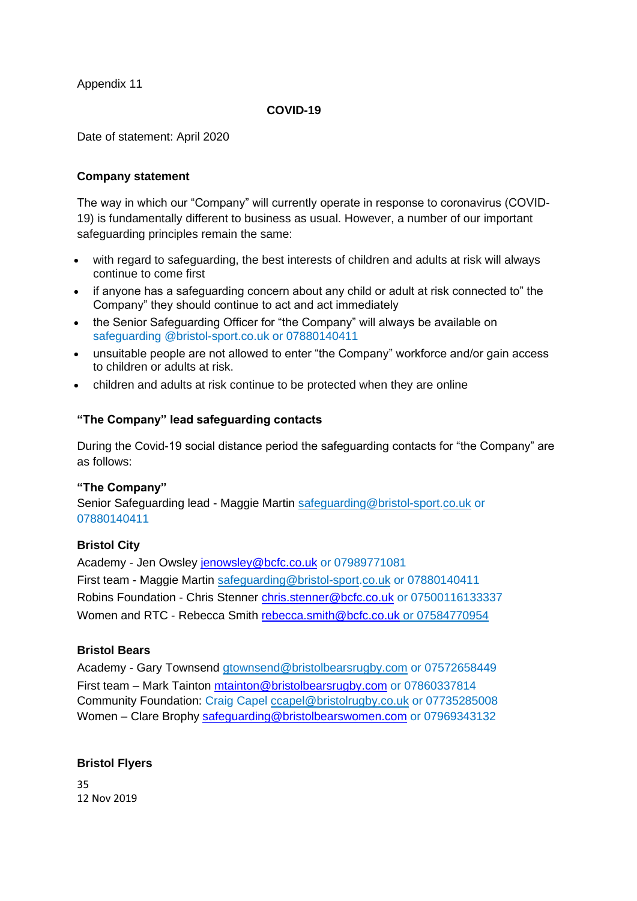Appendix 11

#### **COVID-19**

Date of statement: April 2020

#### **Company statement**

The way in which our "Company" will currently operate in response to coronavirus (COVID-19) is fundamentally different to business as usual. However, a number of our important safeguarding principles remain the same:

- with regard to safeguarding, the best interests of children and adults at risk will always continue to come first
- if anyone has a safeguarding concern about any child or adult at risk connected to" the Company" they should continue to act and act immediately
- the Senior Safeguarding Officer for "the Company" will always be available on safeguarding @bristol-sport.co.uk or 07880140411
- unsuitable people are not allowed to enter "the Company" workforce and/or gain access to children or adults at risk.
- children and adults at risk continue to be protected when they are online

#### **"The Company" lead safeguarding contacts**

During the Covid-19 social distance period the safeguarding contacts for "the Company" are as follows:

#### **"The Company"**

Senior Safeguarding lead - Maggie Martin safeguarding@bristol-sport.co.uk or 07880140411

#### **Bristol City**

Academy - Jen Owsley [jenowsley@bcfc.co.uk](mailto:jenowsley@bcfc.co.uk) or 07989771081 First team - Maggie Martin safeguarding@bristol-sport.co.uk or 07880140411 Robins Foundation - Chris Stenner [chris.stenner@bcfc.co.uk](mailto:chris.stenner@bcfc.co.uk) or 07500116133337 Women and RTC - Rebecca Smith [rebecca.smith@bcfc.co.uk](mailto:rebecca.smith@bcfc.co.uk) or 07584770954

#### **Bristol Bears**

Academy - Gary Townsend gtownsend@bristolbearsrugby.com or 07572658449 First team – Mark Tainton [mtainton@bristolbearsrugby.com](mailto:mark.tainton@bristolbearsrugby.com) or 07860337814 Community Foundation: Craig Capel ccapel@bristolrugby.co.uk or 07735285008 Women – Clare Brophy [safeguarding@bristolbearswomen.com](mailto:safeguarding@bristolbearswomen.com) or 07969343132

#### **Bristol Flyers**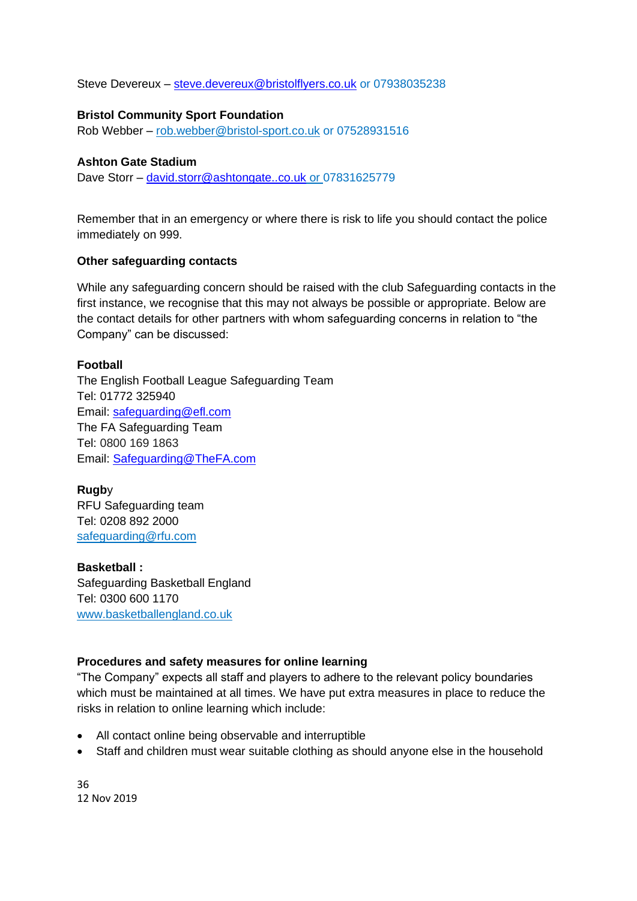Steve Devereux – [steve.devereux@bristolflyers.co.uk](mailto:steve.devereux@bristolflyers.co.uk) or 07938035238

#### **Bristol Community Sport Foundation**

Rob Webber – [rob.webber@bristol-sport.co.uk](mailto:rob.webber@bristol-sport.co.uk) or 07528931516

#### **Ashton Gate Stadium**

Dave Storr – [david.storr@ashtongate..co.uk](mailto:david.storr@ashtongate..co.uk) or 07831625779

Remember that in an emergency or where there is risk to life you should contact the police immediately on 999.

#### **Other safeguarding contacts**

While any safeguarding concern should be raised with the club Safeguarding contacts in the first instance, we recognise that this may not always be possible or appropriate. Below are the contact details for other partners with whom safeguarding concerns in relation to "the Company" can be discussed:

#### **Football**

The English Football League Safeguarding Team Tel: 01772 325940 Email: [safeguarding@efl.com](mailto:safeguarding@efl.com) The FA Safeguarding Team Tel: 0800 169 1863 Email: [Safeguarding@TheFA.com](mailto:Safeguarding@TheFA.com)

**Rugb**y RFU Safeguarding team Tel: 0208 892 2000 [safeguarding@rfu.com](mailto:safeguarding@rfu.com)

**Basketball :** Safeguarding Basketball England Tel: 0300 600 1170 www.basketballengland.co.uk

#### **Procedures and safety measures for online learning**

"The Company" expects all staff and players to adhere to the relevant policy boundaries which must be maintained at all times. We have put extra measures in place to reduce the risks in relation to online learning which include:

- All contact online being observable and interruptible
- Staff and children must wear suitable clothing as should anyone else in the household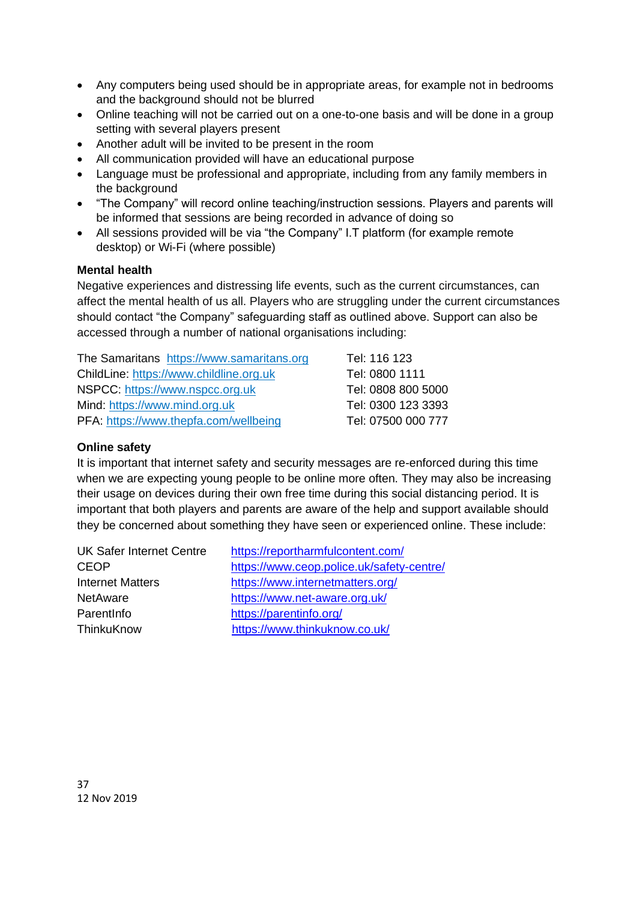- Any computers being used should be in appropriate areas, for example not in bedrooms and the background should not be blurred
- Online teaching will not be carried out on a one-to-one basis and will be done in a group setting with several players present
- Another adult will be invited to be present in the room
- All communication provided will have an educational purpose
- Language must be professional and appropriate, including from any family members in the background
- "The Company" will record online teaching/instruction sessions. Players and parents will be informed that sessions are being recorded in advance of doing so
- All sessions provided will be via "the Company" I.T platform (for example remote desktop) or Wi-Fi (where possible)

#### **Mental health**

Negative experiences and distressing life events, such as the current circumstances, can affect the mental health of us all. Players who are struggling under the current circumstances should contact "the Company" safeguarding staff as outlined above. Support can also be accessed through a number of national organisations including:

The Samaritans [https://www.samaritans.org](https://www.samaritans.org/) Tel: 116 123 ChildLine: [https://www.childline.org.uk](https://www.childline.org.uk/) Tel: 0800 1111 NSPCC: [https://www.nspcc.org.uk](https://www.nspcc.org.uk/) Tel: 0808 800 5000 Mind: [https://www.mind.org.uk](https://www.mind.org.uk/) Tel: 0300 123 3393 PFA:<https://www.thepfa.com/wellbeing> Tel: 07500 000 777

#### **Online safety**

It is important that internet safety and security messages are re-enforced during this time when we are expecting young people to be online more often. They may also be increasing their usage on devices during their own free time during this social distancing period. It is important that both players and parents are aware of the help and support available should they be concerned about something they have seen or experienced online. These include:

| <b>UK Safer Internet Centre</b> | https://reportharmfulcontent.com/         |
|---------------------------------|-------------------------------------------|
| <b>CEOP</b>                     | https://www.ceop.police.uk/safety-centre/ |
| <b>Internet Matters</b>         | https://www.internetmatters.org/          |
| <b>NetAware</b>                 | https://www.net-aware.org.uk/             |
| Parentlnfo                      | https://parentinfo.org/                   |
| ThinkuKnow                      | https://www.thinkuknow.co.uk/             |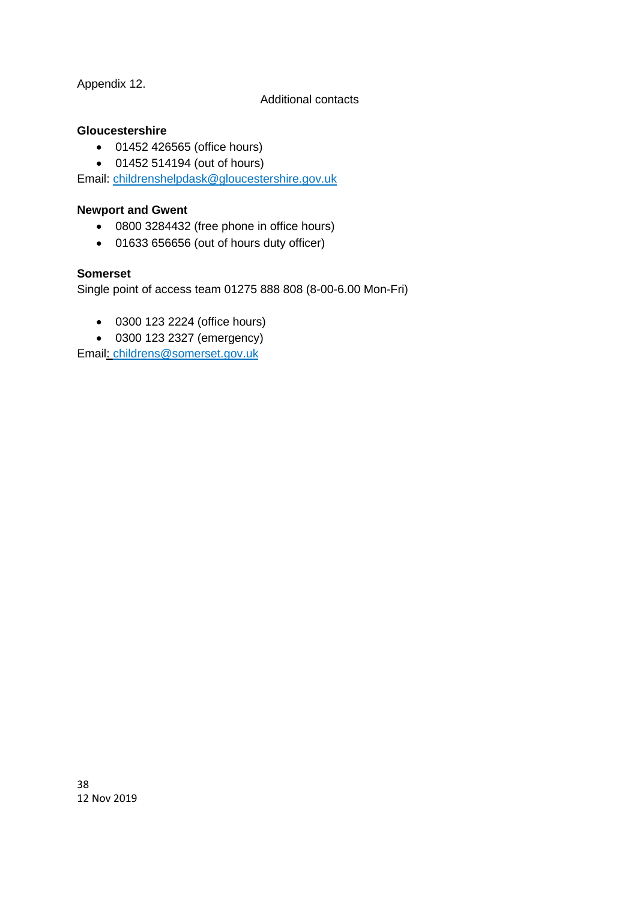Appendix 12.

#### Additional contacts

#### **Gloucestershire**

- 01452 426565 (office hours)
- 01452 514194 (out of hours)

Email: [childrenshelpdask@gloucestershire.gov.uk](mailto:childrenshelpdask@gloucestershire.gov.uk)

#### **Newport and Gwent**

- 0800 3284432 (free phone in office hours)
- 01633 656656 (out of hours duty officer)

#### **Somerset**

Single point of access team 01275 888 808 (8-00-6.00 Mon-Fri)

- 0300 123 2224 (office hours)
- 0300 123 2327 (emergency)

Email: childrens@somerset.gov.uk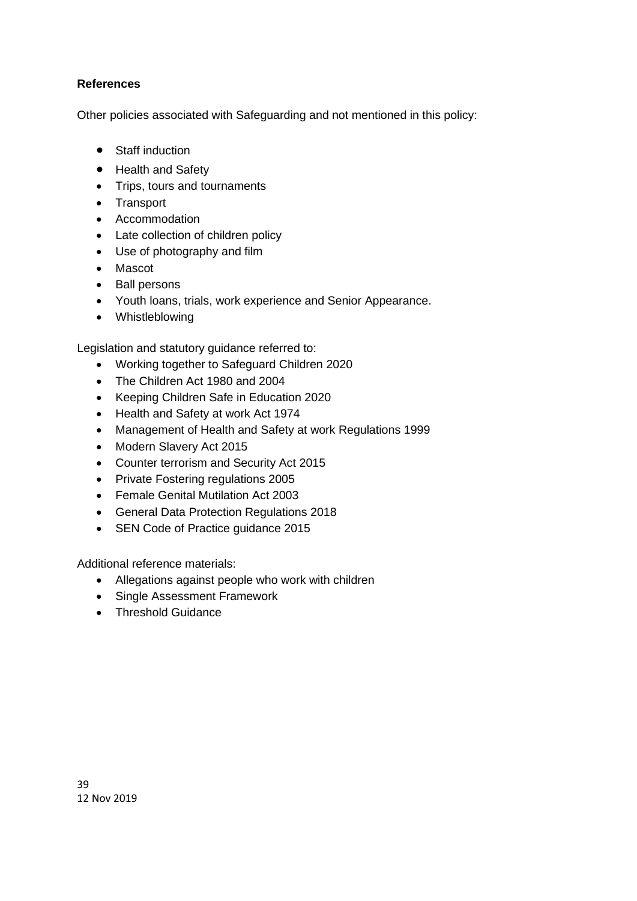#### **References**

Other policies associated with Safeguarding and not mentioned in this policy:

- Staff induction
- Health and Safety
- Trips, tours and tournaments
- Transport
- Accommodation
- Late collection of children policy
- Use of photography and film
- Mascot
- Ball persons
- Youth loans, trials, work experience and Senior Appearance.
- Whistleblowing

Legislation and statutory guidance referred to:

- Working together to Safeguard Children 2020
- The Children Act 1980 and 2004
- Keeping Children Safe in Education 2020
- Health and Safety at work Act 1974
- Management of Health and Safety at work Regulations 1999
- Modern Slavery Act 2015
- Counter terrorism and Security Act 2015
- Private Fostering regulations 2005
- Female Genital Mutilation Act 2003
- General Data Protection Regulations 2018
- SEN Code of Practice guidance 2015

Additional reference materials:

- Allegations against people who work with children
- Single Assessment Framework
- Threshold Guidance